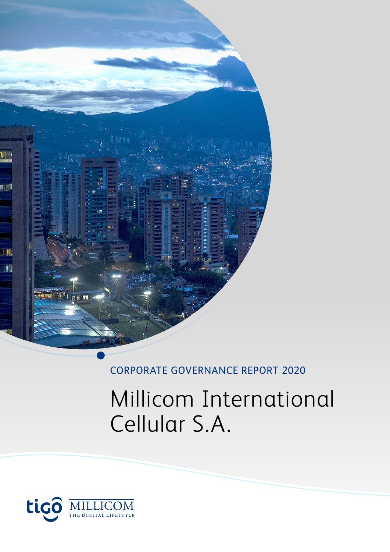

# CORPORATE GOVERNANCE REPORT 2020

# Millicom International Cellular S.A.

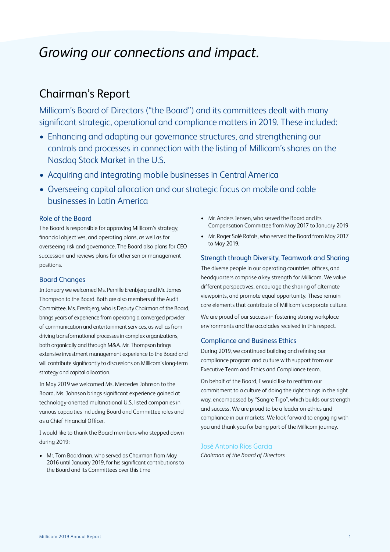# *Growing our connections and impact.*

# Chairman's Report

Millicom's Board of Directors ("the Board") and its committees dealt with many significant strategic, operational and compliance matters in 2019. These included:

- Enhancing and adapting our governance structures, and strengthening our controls and processes in connection with the listing of Millicom's shares on the Nasdaq Stock Market in the U.S.
- Acquiring and integrating mobile businesses in Central America
- Overseeing capital allocation and our strategic focus on mobile and cable businesses in Latin America

# Role of the Board

The Board is responsible for approving Millicom's strategy, financial objectives, and operating plans, as well as for overseeing risk and governance. The Board also plans for CEO succession and reviews plans for other senior management positions.

# Board Changes

In January we welcomed Ms. Pernille Erenbjerg and Mr. James Thompson to the Board. Both are also members of the Audit Committee. Ms. Erenbjerg, who is Deputy Chairman of the Board, brings years of experience from operating a converged provider of communication and entertainment services, as well as from driving transformational processes in complex organizations, both organically and through M&A. Mr. Thompson brings extensive investment management experience to the Board and will contribute significantly to discussions on Millicom's long-term strategy and capital allocation.

In May 2019 we welcomed Ms. Mercedes Johnson to the Board. Ms. Johnson brings significant experience gained at technology-oriented multinational U.S. listed companies in various capacities including Board and Committee roles and as a Chief Financial Officer.

I would like to thank the Board members who stepped down during 2019:

• Mr. Tom Boardman, who served as Chairman from May 2016 until January 2019, for his significant contributions to the Board and its Committees over this time

- Mr. Anders Jensen, who served the Board and its Compensation Committee from May 2017 to January 2019
- Mr. Roger Solé Rafols, who served the Board from May 2017 to May 2019.

# Strength through Diversity, Teamwork and Sharing

The diverse people in our operating countries, offices, and headquarters comprise a key strength for Millicom. We value different perspectives, encourage the sharing of alternate viewpoints, and promote equal opportunity. These remain core elements that contribute of Millicom's corporate culture.

We are proud of our success in fostering strong workplace environments and the accolades received in this respect.

# Compliance and Business Ethics

During 2019, we continued building and refining our compliance program and culture with support from our Executive Team and Ethics and Compliance team.

On behalf of the Board, I would like to reaffirm our commitment to a culture of doing the right things in the right way, encompassed by "Sangre Tigo", which builds our strength and success. We are proud to be a leader on ethics and compliance in our markets. We look forward to engaging with you and thank you for being part of the Millicom journey.

# José Antonio Ríos García

*Chairman of the Board of Directors*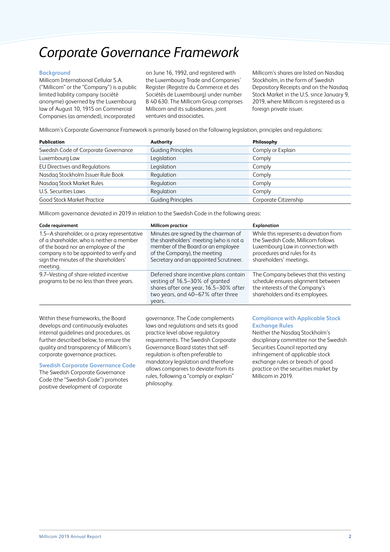# *Corporate Governance Framework*

# **Background**

Millicom International Cellular S.A. ("Millicom" or the "Company") is a public limited liability company (société anonyme) governed by the Luxembourg law of August 10, 1915 on Commercial Companies (as amended), incorporated

on June 16, 1992, and registered with the Luxembourg Trade and Companies' Register (Registre du Commerce et des Sociétés de Luxembourg) under number B 40 630. The Millicom Group comprises Millicom and its subsidiaries, joint ventures and associates.

Millicom's shares are listed on Nasdaq Stockholm, in the form of Swedish Depository Receipts and on the Nasdaq Stock Market in the U.S. since January 9, 2019, where Millicom is registered as a foreign private issuer.

Millicom's Corporate Governance Framework is primarily based on the following legislation, principles and regulations:

| <b>Publication</b>                   | Authority                 | Philosophy            |
|--------------------------------------|---------------------------|-----------------------|
| Swedish Code of Corporate Governance | <b>Guiding Principles</b> | Comply or Explain     |
| Luxembourg Law                       | Legislation               | Comply                |
| EU Directives and Regulations        | Legislation               | Comply                |
| Nasdaq Stockholm Issuer Rule Book    | Regulation                | Comply                |
| Nasdaq Stock Market Rules            | Regulation                | Comply                |
| U.S. Securities Laws                 | Regulation                | Comply                |
| <b>Good Stock Market Practice</b>    | <b>Guiding Principles</b> | Corporate Citizenship |

Millicom governance deviated in 2019 in relation to the Swedish Code in the following areas:

| Code requirement                                                                                                                                                                                                                  | <b>Millicom practice</b>                                                                                                                                                                         | <b>Explanation</b>                                                                                                                                                           |
|-----------------------------------------------------------------------------------------------------------------------------------------------------------------------------------------------------------------------------------|--------------------------------------------------------------------------------------------------------------------------------------------------------------------------------------------------|------------------------------------------------------------------------------------------------------------------------------------------------------------------------------|
| 1.5-A shareholder, or a proxy representative<br>of a shareholder, who is neither a member<br>of the board nor an employee of the<br>company is to be appointed to verify and<br>sign the minutes of the shareholders'<br>meeting. | Minutes are signed by the chairman of<br>the shareholders' meeting (who is not a<br>member of the Board or an employee<br>of the Company), the meeting<br>Secretary and an appointed Scrutineer. | While this represents a deviation from<br>the Swedish Code, Millicom follows<br>Luxembourg Law in connection with<br>procedures and rules for its<br>shareholders' meetings. |
| 9.7-Vesting of share-related incentive<br>programs to be no less than three years.                                                                                                                                                | Deferred share incentive plans contain<br>vesting of 16.5-30% of granted<br>shares after one year, 16.5-30% after<br>two years, and 40-67% after three<br>years.                                 | The Company believes that this vesting<br>schedule ensures alignment between<br>the interests of the Company's<br>shareholders and its employees.                            |

Within these frameworks, the Board develops and continuously evaluates internal guidelines and procedures, as further described below, to ensure the quality and transparency of Millicom's corporate governance practices.

# **Swedish Corporate Governance Code**

The Swedish Corporate Governance Code (the "Swedish Code") promotes positive development of corporate

governance. The Code complements laws and regulations and sets its good practice level above regulatory requirements. The Swedish Corporate Governance Board states that selfregulation is often preferable to mandatory legislation and therefore allows companies to deviate from its rules, following a "comply or explain" philosophy.

# **Compliance with Applicable Stock Exchange Rules**

Neither the Nasdaq Stockholm's disciplinary committee nor the Swedish Securities Council reported any infringement of applicable stock exchange rules or breach of good practice on the securities market by Millicom in 2019.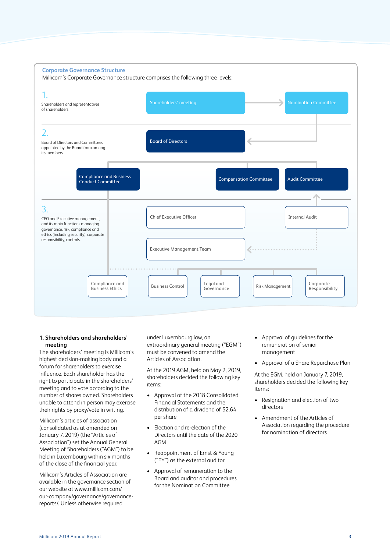

# **1. Shareholders and shareholders' meeting**

The shareholders' meeting is Millicom's highest decision-making body and a forum for shareholders to exercise influence. Each shareholder has the right to participate in the shareholders' meeting and to vote according to the number of shares owned. Shareholders unable to attend in person may exercise their rights by proxy/vote in writing.

Millicom's articles of association (consolidated as at amended on January 7, 2019) (the "Articles of Association") set the Annual General Meeting of Shareholders ("AGM") to be held in Luxembourg within six months of the close of the financial year.

Millicom's Articles of Association are available in the governance section of our website at www.millicom.com/ our-company/governance/governancereports/. Unless otherwise required

under Luxembourg law, an extraordinary general meeting ("EGM") must be convened to amend the Articles of Association.

At the 2019 AGM, held on May 2, 2019, shareholders decided the following key items:

- Approval of the 2018 Consolidated Financial Statements and the distribution of a dividend of \$2.64 per share
- Election and re-election of the Directors until the date of the 2020 AGM
- Reappointment of Ernst & Young ("EY") as the external auditor
- Approval of remuneration to the Board and auditor and procedures for the Nomination Committee
- Approval of guidelines for the remuneration of senior management
- Approval of a Share Repurchase Plan

At the EGM, held on January 7, 2019, shareholders decided the following key items:

- Resignation and election of two directors
- Amendment of the Articles of Association regarding the procedure for nomination of directors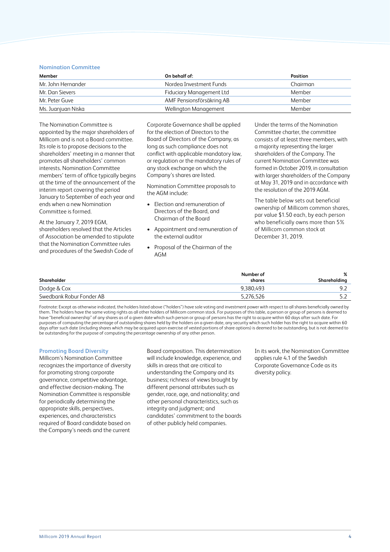### **Nomination Committee**

| Member             | On behalf of:             | <b>Position</b> |
|--------------------|---------------------------|-----------------|
| Mr. John Hernander | Nordea Investment Funds   | Chairman        |
| Mr. Dan Sievers    | Fiduciary Management Ltd  | Member          |
| Mr. Peter Guve     | AMF Pensionsförsäkring AB | Member          |
| Ms. Juanjuan Niska | Wellington Management     | Member          |

The Nomination Committee is appointed by the major shareholders of Millicom and is not a Board committee. Its role is to propose decisions to the shareholders' meeting in a manner that promotes all shareholders' common interests. Nomination Committee members' term of office typically begins at the time of the announcement of the interim report covering the period January to September of each year and ends when a new Nomination Committee is formed.

At the January 7, 2019 EGM, shareholders resolved that the Articles of Association be amended to stipulate that the Nomination Committee rules and procedures of the Swedish Code of

Corporate Governance shall be applied for the election of Directors to the Board of Directors of the Company, as long as such compliance does not conflict with applicable mandatory law, or regulation or the mandatory rules of any stock exchange on which the Company's shares are listed.

Nomination Committee proposals to the AGM include:

- Election and remuneration of Directors of the Board, and Chairman of the Board
- Appointment and remuneration of the external auditor
- Proposal of the Chairman of the AGM

Under the terms of the Nomination Committee charter, the committee consists of at least three members, with a majority representing the larger shareholders of the Company. The current Nomination Committee was formed in October 2019, in consultation with larger shareholders of the Company at May 31, 2019 and in accordance with the resolution of the 2019 AGM.

The table below sets out beneficial ownership of Millicom common shares, par value \$1.50 each, by each person who beneficially owns more than 5% of Millicom common stock at December 31, 2019.

|                          | Number of | %            |
|--------------------------|-----------|--------------|
| Shareholder              | shares    | Shareholding |
| Dodge & Cox              | 9,380,493 | ാ            |
| Swedbank Robur Fonder AB | 5,276,526 |              |

Footnote: Except as otherwise indicated, the holders listed above ("holders") have sole voting and investment power with respect to all shares beneficially owned by them. The holders have the same voting rights as all other holders of Millicom common stock. For purposes of this table, a person or group of persons is deemed to have "beneficial ownership" of any shares as of a given date which such person or group of persons has the right to acquire within 60 days after such date. For purposes of computing the percentage of outstanding shares held by the holders on a given date, any security which such holder has the right to acquire within 60 days after such date (including shares which may be acquired upon exercise of vested portions of share options) is deemed to be outstanding, but is not deemed to be outstanding for the purpose of computing the percentage ownership of any other person.

#### **Promoting Board Diversity**

Millicom's Nomination Committee recognizes the importance of diversity for promoting strong corporate governance, competitive advantage, and effective decision-making. The Nomination Committee is responsible for periodically determining the appropriate skills, perspectives, experiences, and characteristics required of Board candidate based on the Company's needs and the current

Board composition. This determination will include knowledge, experience, and skills in areas that are critical to understanding the Company and its business; richness of views brought by different personal attributes such as gender, race, age, and nationality; and other personal characteristics, such as integrity and judgment; and candidates' commitment to the boards of other publicly held companies.

In its work, the Nomination Committee applies rule 4.1 of the Swedish Corporate Governance Code as its diversity policy.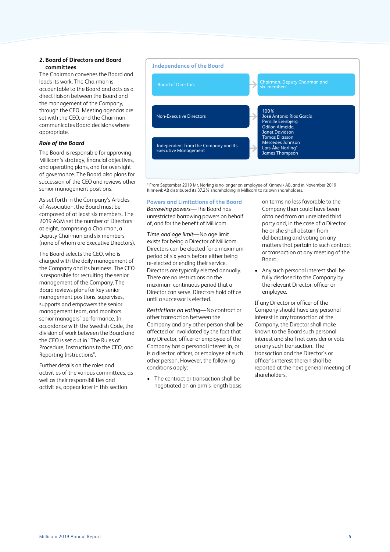# **2. Board of Directors and Board committees**

The Chairman convenes the Board and leads its work. The Chairman is accountable to the Board and acts as a direct liaison between the Board and the management of the Company, through the CEO. Meeting agendas are set with the CEO, and the Chairman communicates Board decisions where appropriate.

# *Role of the Board*

The Board is responsible for approving Millicom's strategy, financial objectives, and operating plans, and for oversight of governance. The Board also plans for succession of the CEO and reviews other senior management positions.

As set forth in the Company's Articles of Association, the Board must be composed of at least six members. The 2019 AGM set the number of Directors at eight, comprising a Chairman, a Deputy Chairman and six members (none of whom are Executive Directors).

The Board selects the CEO, who is charged with the daily management of the Company and its business. The CEO is responsible for recruiting the senior management of the Company. The Board reviews plans for key senior management positions, supervises, supports and empowers the senior management team, and monitors senior managers' performance. In accordance with the Swedish Code, the division of work between the Board and the CEO is set out in "The Rules of Procedure, Instructions to the CEO, and Reporting Instructions".

Further details on the roles and activities of the various committees, as well as their responsibilities and activities, appear later in this section.



\* From September 2019 Mr. Norling is no longer an employee of Kinnevik AB, and in November 2019 Kinnevik AB distributed its 37.2% shareholding in Millicom to its own shareholders.

**Powers and Limitations of the Board**

*Borrowing powers*—The Board has unrestricted borrowing powers on behalf of, and for the benefit of Millicom.

*Time and age limit*—No age limit exists for being a Director of Millicom. Directors can be elected for a maximum period of six years before either being re-elected or ending their service. Directors are typically elected annually. There are no restrictions on the maximum continuous period that a Director can serve. Directors hold office until a successor is elected.

*Restrictions on voting*—No contract or other transaction between the Company and any other person shall be affected or invalidated by the fact that any Director, officer or employee of the Company has a personal interest in, or is a director, officer, or employee of such other person. However, the following conditions apply:

• The contract or transaction shall be negotiated on an arm's-length basis

on terms no less favorable to the Company than could have been obtained from an unrelated third party and, in the case of a Director, he or she shall abstain from deliberating and voting on any matters that pertain to such contract or transaction at any meeting of the Board.

• Any such personal interest shall be fully disclosed to the Company by the relevant Director, officer or employee.

If any Director or officer of the Company should have any personal interest in any transaction of the Company, the Director shall make known to the Board such personal interest and shall not consider or vote on any such transaction. The transaction and the Director's or officer's interest therein shall be reported at the next general meeting of shareholders.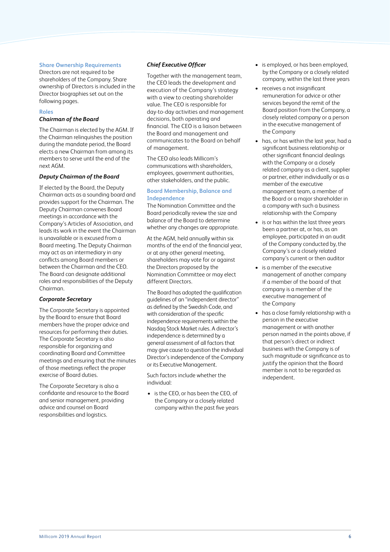# **Share Ownership Requirements**

Directors are not required to be shareholders of the Company. Share ownership of Directors is included in the Director biographies set out on the following pages.

# **Roles**

# *Chairman of the Board*

The Chairman is elected by the AGM. If the Chairman relinquishes the position during the mandate period, the Board elects a new Chairman from among its members to serve until the end of the next AGM.

# *Deputy Chairman of the Board*

If elected by the Board, the Deputy Chairman acts as a sounding board and provides support for the Chairman. The Deputy Chairman convenes Board meetings in accordance with the Company's Articles of Association, and leads its work in the event the Chairman is unavailable or is excused from a Board meeting. The Deputy Chairman may act as an intermediary in any conflicts among Board members or between the Chairman and the CEO. The Board can designate additional roles and responsibilities of the Deputy Chairman.

# *Corporate Secretary*

The Corporate Secretary is appointed by the Board to ensure that Board members have the proper advice and resources for performing their duties. The Corporate Secretary is also responsible for organizing and coordinating Board and Committee meetings and ensuring that the minutes of those meetings reflect the proper exercise of Board duties.

The Corporate Secretary is also a confidante and resource to the Board and senior management, providing advice and counsel on Board responsibilities and logistics.

# *Chief Executive Officer*

Together with the management team, the CEO leads the development and execution of the Company's strategy with a view to creating shareholder value. The CEO is responsible for day-to-day activities and management decisions, both operating and financial. The CEO is a liaison between the Board and management and communicates to the Board on behalf of management.

The CEO also leads Millicom's communications with shareholders, employees, government authorities, other stakeholders, and the public.

# **Board Membership, Balance and Independence**

The Nomination Committee and the Board periodically review the size and balance of the Board to determine whether any changes are appropriate.

At the AGM, held annually within six months of the end of the financial year, or at any other general meeting, shareholders may vote for or against the Directors proposed by the Nomination Committee or may elect different Directors.

The Board has adopted the qualification guidelines of an "independent director" as defined by the Swedish Code, and with consideration of the specific independence requirements within the Nasdaq Stock Market rules. A director's independence is determined by a general assessment of all factors that may give cause to question the individual Director's independence of the Company or its Executive Management.

Such factors include whether the individual:

• is the CEO, or has been the CEO, of the Company or a closely related company within the past five years

- is employed, or has been employed, by the Company or a closely related company, within the last three years
- receives a not insignificant remuneration for advice or other services beyond the remit of the Board position from the Company, a closely related company or a person in the executive management of the Company
- has, or has within the last year, had a significant business relationship or other significant financial dealings with the Company or a closely related company as a client, supplier or partner, either individually or as a member of the executive management team, a member of the Board or a major shareholder in a company with such a business relationship with the Company
- is or has within the last three years been a partner at, or has, as an employee, participated in an audit of the Company conducted by, the Company's or a closely related company's current or then auditor
- is a member of the executive management of another company if a member of the board of that company is a member of the executive management of the Company
- has a close family relationship with a person in the executive management or with another person named in the points above, if that person's direct or indirect business with the Company is of such magnitude or significance as to justify the opinion that the Board member is not to be regarded as independent.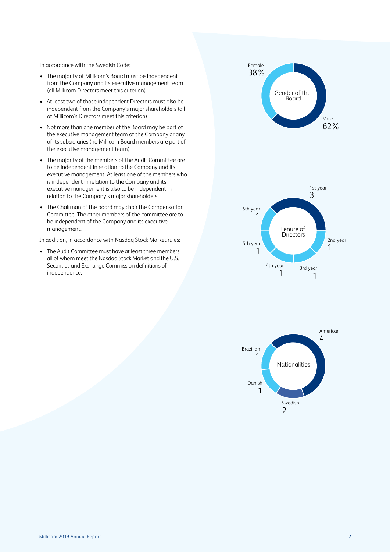In accordance with the Swedish Code:

- The majority of Millicom's Board must be independent from the Company and its executive management team (all Millicom Directors meet this criterion)
- At least two of those independent Directors must also be independent from the Company's major shareholders (all of Millicom's Directors meet this criterion)
- Not more than one member of the Board may be part of the executive management team of the Company or any of its subsidiaries (no Millicom Board members are part of the executive management team).
- The majority of the members of the Audit Committee are to be independent in relation to the Company and its executive management. At least one of the members who is independent in relation to the Company and its executive management is also to be independent in relation to the Company's major shareholders.
- The Chairman of the board may chair the Compensation Committee. The other members of the committee are to be independent of the Company and its executive management.

In addition, in accordance with Nasdaq Stock Market rules:

• The Audit Committee must have at least three members, all of whom meet the Nasdaq Stock Market and the U.S. Securities and Exchange Commission definitions of independence.



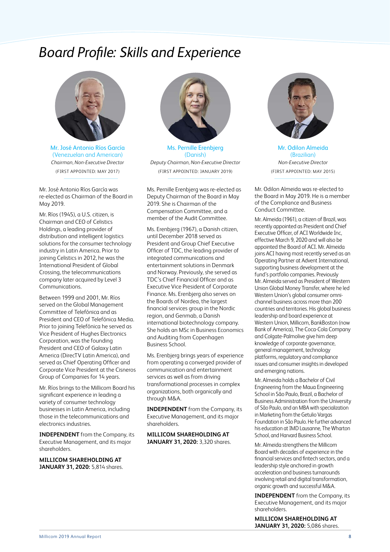# *Board Profile: Skills and Experience*



Mr. José Antonio Ríos García (Venezuelan and American) *Chairman, Non-Executive Director* (FIRST APPOINTED: MAY 2017)

Mr. José Antonio Ríos García was re-elected as Chairman of the Board in May 2019.

Mr. Ríos (1945), a U.S. citizen, is Chairman and CEO of Celistics Holdings, a leading provider of distribution and intelligent logistics solutions for the consumer technology industry in Latin America. Prior to joining Celistics in 2012, he was the International President of Global Crossing, the telecommunications company later acquired by Level 3 Communications.

Between 1999 and 2001, Mr. Ríos served on the Global Management Committee of Telefónica and as President and CEO of Telefónica Media. Prior to joining Telefónica he served as Vice President of Hughes Electronics Corporation, was the founding President and CEO of Galaxy Latin America (DirecTV Latin America), and served as Chief Operating Officer and Corporate Vice President at the Cisneros Group of Companies for 14 years.

Mr. Ríos brings to the Millicom Board his significant experience in leading a variety of consumer technology businesses in Latin America, including those in the telecommunications and electronics industries.

**INDEPENDENT** from the Company, its Executive Management, and its major shareholders.

**MILLICOM SHAREHOLDING AT JANUARY 31, 2020:** 5,814 shares.



Ms. Pernille Erenbjerg (Danish) *Deputy Chairman, Non-Executive Director* (FIRST APPOINTED: JANUARY 2019)

Ms. Pernille Erenbjerg was re-elected as Deputy Chairman of the Board in May 2019. She is Chairman of the Compensation Committee, and a member of the Audit Committee.

Ms. Erenbjerg (1967), a Danish citizen, until December 2018 served as President and Group Chief Executive Officer of TDC, the leading provider of integrated communications and entertainment solutions in Denmark and Norway. Previously, she served as TDC's Chief Financial Officer and as Executive Vice President of Corporate Finance. Ms. Erenbjerg also serves on the Boards of Nordea, the largest financial services group in the Nordic region, and Genmab, a Danish international biotechnology company. She holds an MSc in Business Economics and Auditing from Copenhagen Business School.

Ms. Erenbjerg brings years of experience from operating a converged provider of communication and entertainment services as well as from driving transformational processes in complex organizations, both organically and through M&A.

**INDEPENDENT** from the Company, its Executive Management, and its major shareholders.

**MILLICOM SHAREHOLDING AT JANUARY 31, 2020:** 3,320 shares.



Mr. Odilon Almeida (Brazilian) *Non-Executive Director* (FIRST APPOINTED: MAY 2015)

Mr. Odilon Almeida was re-elected to the Board in May 2019. He is a member of the Compliance and Business Conduct Committee.

Mr. Almeida (1961), a citizen of Brazil, was recently appointed as President and Chief Executive Officer, of ACI Worldwide Inc, effective March 9, 2020 and will also be appointed the Board of ACI. Mr. Almeida joins ACI having most recently served as an Operating Partner at Advent International, supporting business development at the fund's portfolio companies. Previously Mr. Almeida served as President of Western Union Global Money Transfer, where he led Western Union's global consumer omnichannel business across more than 200 countries and territories. His global business leadership and board experience at Western Union, Millicom, BankBoston (now Bank of America), The Coca-Cola Company and Colgate-Palmolive give him deep knowledge of corporate governance. general management, technology platforms, regulatory and compliance issues and consumer insights in developed and emerging nations.

Mr. Almeida holds a Bachelor of Civil Engineering from the Maua Engineering School in São Paulo, Brazil, a Bachelor of Business Administration from the University of São Paulo, and an MBA with specialization in Marketing from the Getulio Vargas Foundation in São Paulo. He further advanced his education at IMD Lausanne, The Wharton School, and Harvard Business School.

Mr. Almeida strengthens the Millicom Board with decades of experience in the financial services and fintech sectors, and a leadership style anchored in growth acceleration and business turnarounds involving retail and digital transformation, organic growth and successful M&A.

**INDEPENDENT** from the Company, its Executive Management, and its major shareholders.

**MILLICOM SHAREHOLDING AT JANUARY 31, 2020:** 5,086 shares.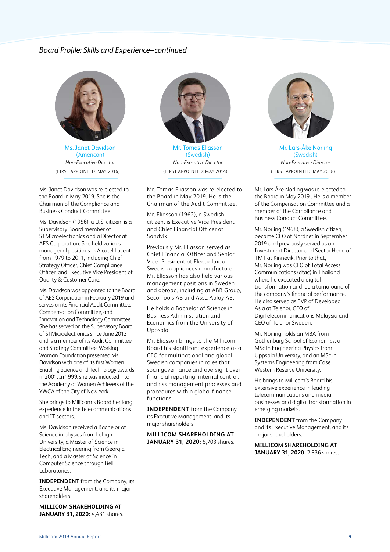# *Board Profile: Skills and Experience–continued*



Ms. Janet Davidson (American) *Non-Executive Director* (FIRST APPOINTED: MAY 2016)

Ms. Janet Davidson was re-elected to the Board in May 2019. She is the Chairman of the Compliance and Business Conduct Committee.

Ms. Davidson (1956), a U.S. citizen, is a Supervisory Board member of STMicroelectronics and a Director at AES Corporation. She held various managerial positions in Alcatel Lucent from 1979 to 2011, including Chief Strategy Officer, Chief Compliance Officer, and Executive Vice President of Quality & Customer Care.

Ms. Davidson was appointed to the Board of AES Corporation in February 2019 and serves on its Financial Audit Committee, Compensation Committee, and Innovation and Technology Committee. She has served on the Supervisory Board of STMicroelectronics since June 2013 and is a member of its Audit Committee and Strategy Committee. Working Woman Foundation presented Ms. Davidson with one of its first Women Enabling Science and Technology awards in 2001. In 1999, she was inducted into the Academy of Women Achievers of the YWCA of the City of New York.

She brings to Millicom's Board her long experience in the telecommunications and IT sectors.

Ms. Davidson received a Bachelor of Science in physics from Lehigh University, a Master of Science in Electrical Engineering from Georgia Tech, and a Master of Science in Computer Science through Bell Laboratories.

**INDEPENDENT** from the Company, its Executive Management, and its major shareholders.

**MILLICOM SHAREHOLDING AT JANUARY 31, 2020:** 4,431 shares.



Mr. Tomas Eliasson (Swedish) *Non-Executive Director* (FIRST APPOINTED: MAY 2014)

Mr. Tomas Eliasson was re-elected to the Board in May 2019. He is the Chairman of the Audit Committee.

Mr. Eliasson (1962), a Swedish citizen, is Executive Vice President and Chief Financial Officer at Sandvik.

Previously Mr. Eliasson served as Chief Financial Officer and Senior Vice- President at Electrolux, a Swedish appliances manufacturer. Mr. Eliasson has also held various management positions in Sweden and abroad, including at ABB Group, Seco Tools AB and Assa Abloy AB.

He holds a Bachelor of Science in Business Administration and Economics from the University of Uppsala.

Mr. Eliasson brings to the Millicom Board his significant experience as a CFO for multinational and global Swedish companies in roles that span governance and oversight over financial reporting, internal control, and risk management processes and procedures within global finance functions.

**INDEPENDENT** from the Company, its Executive Management, and its major shareholders.

**MILLICOM SHAREHOLDING AT JANUARY 31, 2020:** 5,703 shares.



Mr. Lars-Åke Norling (Swedish) *Non-Executive Director* (FIRST APPOINTED: MAY 2018)

Mr. Lars-Åke Norling was re-elected to the Board in May 2019 . He is a member of the Compensation Committee and a member of the Compliance and Business Conduct Committee.

Mr. Norling (1968), a Swedish citizen, became CEO of Nordnet in September 2019 and previously served as an Investment Director and Sector Head of TMT at Kinnevik. Prior to that, Mr. Norling was CEO of Total Access Communications (dtac) in Thailand where he executed a digital transformation and led a turnaround of the company's financial performance. He also served as EVP of Developed Asia at Telenor, CEO of DigiTelecommunications Malaysia and CEO of Telenor Sweden.

Mr. Norling holds an MBA from Gothenburg School of Economics, an MSc in Engineering Physics from Uppsala University, and an MSc in Systems Engineering from Case Western Reserve University.

He brings to Millicom's Board his extensive experience in leading telecommunications and media businesses and digital transformation in emerging markets.

**INDEPENDENT** from the Company and its Executive Management, and its major shareholders.

**MILLICOM SHAREHOLDING AT JANUARY 31, 2020:** 2,836 shares.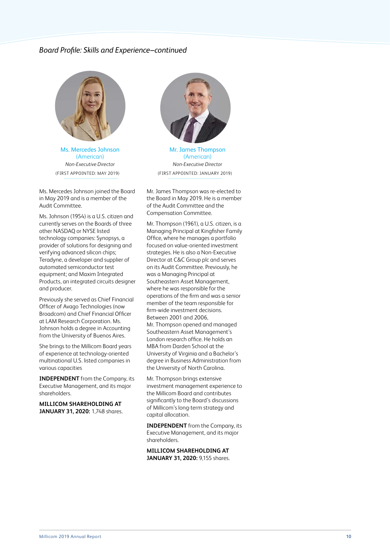# *Board Profile: Skills and Experience–continued*



Ms. Mercedes Johnson (American) *Non-Executive Director* (FIRST APPOINTED: MAY 2019)

Ms. Mercedes Johnson joined the Board in May 2019 and is a member of the Audit Committee.

Ms. Johnson (1954) is a U.S. citizen and currently serves on the Boards of three other NASDAQ or NYSE listed technology companies: Synopsys, a provider of solutions for designing and verifying advanced silicon chips; Teradyne, a developer and supplier of automated semiconductor test equipment; and Maxim Integrated Products, an integrated circuits designer and producer.

Previously she served as Chief Financial Officer of Avago Technologies (now Broadcom) and Chief Financial Officer at LAM Research Corporation. Ms. Johnson holds a degree in Accounting from the University of Buenos Aires.

She brings to the Millicom Board years of experience at technology-oriented multinational U.S. listed companies in various capacities

**INDEPENDENT** from the Company, its Executive Management, and its major shareholders.

**MILLICOM SHAREHOLDING AT JANUARY 31, 2020:** 1,748 shares.



Mr. James Thompson (American) *Non-Executive Director* (FIRST APPOINTED: JANUARY 2019)

Mr. James Thompson was re-elected to the Board in May 2019. He is a member of the Audit Committee and the Compensation Committee.

Mr. Thompson (1961), a U.S. citizen, is a Managing Principal at Kingfisher Family Office, where he manages a portfolio focused on value-oriented investment strategies. He is also a Non-Executive Director at C&C Group plc and serves on its Audit Committee. Previously, he was a Managing Principal at Southeastern Asset Management, where he was responsible for the operations of the firm and was a senior member of the team responsible for firm-wide investment decisions. Between 2001 and 2006, Mr. Thompson opened and managed Southeastern Asset Management's London research office. He holds an MBA from Darden School at the University of Virginia and a Bachelor's degree in Business Administration from the University of North Carolina.

Mr. Thompson brings extensive investment management experience to the Millicom Board and contributes significantly to the Board's discussions of Millicom's long-term strategy and capital allocation.

**INDEPENDENT** from the Company, its Executive Management, and its major shareholders.

**MILLICOM SHAREHOLDING AT JANUARY 31, 2020:** 9,155 shares.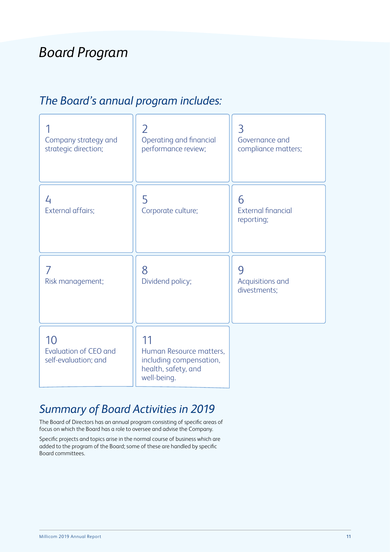# *Board Program*

# *The Board's annual program includes:*

| Company strategy and<br>strategic direction;               | 2<br>Operating and financial<br>performance review;                                            | 3<br>Governance and<br>compliance matters;   |
|------------------------------------------------------------|------------------------------------------------------------------------------------------------|----------------------------------------------|
| 4<br>External affairs;                                     | 5<br>Corporate culture;                                                                        | 6<br><b>External financial</b><br>reporting; |
| Risk management;                                           | 8<br>Dividend policy;                                                                          | 9<br>Acquisitions and<br>divestments;        |
| 10<br><b>Evaluation of CEO and</b><br>self-evaluation; and | 11<br>Human Resource matters,<br>including compensation,<br>health, safety, and<br>well-being. |                                              |

# *Summary of Board Activities in 2019*

The Board of Directors has an annual program consisting of specific areas of focus on which the Board has a role to oversee and advise the Company.

Specific projects and topics arise in the normal course of business which are added to the program of the Board; some of these are handled by specific Board committees.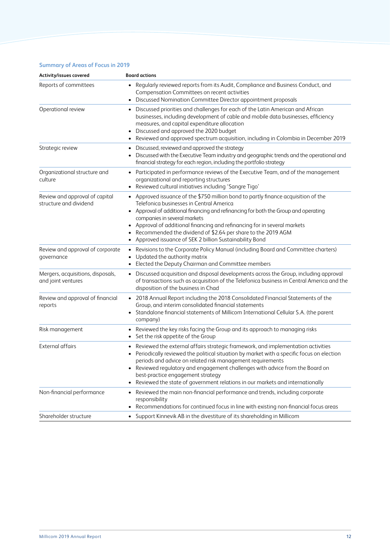# **Summary of Areas of Focus in 2019**

| Activity/issues covered                                  | <b>Board actions</b>                                                                                                                                                                                                                                                                                                                                                                                                                                     |
|----------------------------------------------------------|----------------------------------------------------------------------------------------------------------------------------------------------------------------------------------------------------------------------------------------------------------------------------------------------------------------------------------------------------------------------------------------------------------------------------------------------------------|
| Reports of committees                                    | Regularly reviewed reports from its Audit, Compliance and Business Conduct, and<br>Compensation Committees on recent activities<br>Discussed Nomination Committee Director appointment proposals                                                                                                                                                                                                                                                         |
| Operational review                                       | Discussed priorities and challenges for each of the Latin American and African<br>businesses, including development of cable and mobile data businesses, efficiency<br>measures, and capital expenditure allocation<br>Discussed and approved the 2020 budget<br>Reviewed and approved spectrum acquisition, including in Colombia in December 2019                                                                                                      |
| Strategic review                                         | Discussed, reviewed and approved the strategy<br>$\bullet$<br>Discussed with the Executive Team industry and geographic trends and the operational and<br>٠<br>financial strategy for each region, including the portfolio strategy                                                                                                                                                                                                                      |
| Organizational structure and<br>culture                  | Participated in performance reviews of the Executive Team, and of the management<br>$\bullet$<br>organizational and reporting structures<br>Reviewed cultural initiatives including 'Sangre Tigo'<br>$\bullet$                                                                                                                                                                                                                                           |
| Review and approval of capital<br>structure and dividend | Approved issuance of the \$750 million bond to partly finance acquisition of the<br>Telefonica businesses in Central America<br>• Approval of additional financing and refinancing for both the Group and operating<br>companies in several markets<br>Approval of additional financing and refinancing for in several markets<br>Recommended the dividend of \$2.64 per share to the 2019 AGM<br>Approved issuance of SEK 2 billion Sustainability Bond |
| Review and approval of corporate<br>qovernance           | Revisions to the Corporate Policy Manual (including Board and Committee charters)<br>$\bullet$<br>Updated the authority matrix<br>Elected the Deputy Chairman and Committee members                                                                                                                                                                                                                                                                      |
| Mergers, acquisitions, disposals,<br>and joint ventures  | Discussed acquisition and disposal developments across the Group, including approval<br>$\bullet$<br>of transactions such as acquisition of the Telefonica business in Central America and the<br>disposition of the business in Chad                                                                                                                                                                                                                    |
| Review and approval of financial<br>reports              | 2018 Annual Report including the 2018 Consolidated Financial Statements of the<br>$\bullet$<br>Group, and interim consolidated financial statements<br>Standalone financial statements of Millicom International Cellular S.A. (the parent<br>company)                                                                                                                                                                                                   |
| Risk management                                          | Reviewed the key risks facing the Group and its approach to managing risks<br>Set the risk appetite of the Group<br>$\bullet$                                                                                                                                                                                                                                                                                                                            |
| External affairs                                         | Reviewed the external affairs strategic framework, and implementation activities<br>Periodically reviewed the political situation by market with a specific focus on election<br>periods and advice on related risk management requirements<br>Reviewed regulatory and engagement challenges with advice from the Board on<br>best-practice engagement strategy<br>Reviewed the state of government relations in our markets and internationally         |
| Non-financial performance                                | Reviewed the main non-financial performance and trends, including corporate<br>$\bullet$<br>responsibility<br>Recommendations for continued focus in line with existing non-financial focus areas<br>$\bullet$                                                                                                                                                                                                                                           |
| Shareholder structure                                    | • Support Kinnevik AB in the divestiture of its shareholding in Millicom                                                                                                                                                                                                                                                                                                                                                                                 |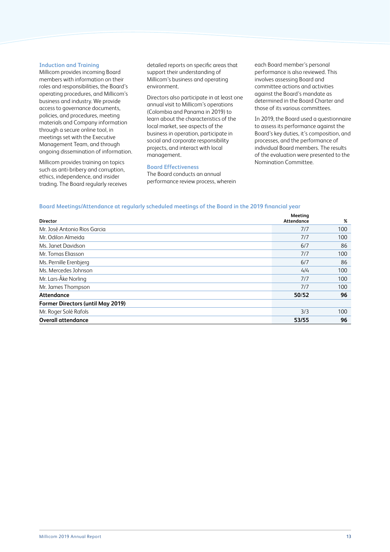#### **Induction and Training**

Millicom provides incoming Board members with information on their roles and responsibilities, the Board's operating procedures, and Millicom's business and industry. We provide access to governance documents, policies, and procedures, meeting materials and Company information through a secure online tool, in meetings set with the Executive Management Team, and through ongoing dissemination of information.

Millicom provides training on topics such as anti-bribery and corruption, ethics, independence, and insider trading. The Board regularly receives detailed reports on specific areas that support their understanding of Millicom's business and operating environment.

Directors also participate in at least one annual visit to Millicom's operations (Colombia and Panama in 2019) to learn about the characteristics of the local market, see aspects of the business in operation, participate in social and corporate responsibility projects, and interact with local management.

### **Board Effectiveness**

The Board conducts an annual performance review process, wherein each Board member's personal performance is also reviewed. This involves assessing Board and committee actions and activities against the Board's mandate as determined in the Board Charter and those of its various committees.

In 2019, the Board used a questionnaire to assess its performance against the Board's key duties, it's composition, and processes, and the performance of individual Board members. The results of the evaluation were presented to the Nomination Committee.

# **Board Meetings/Attendance at regularly scheduled meetings of the Board in the 2019 financial year**

| <b>Director</b>                          | Meeting<br><b>Attendance</b> | %   |
|------------------------------------------|------------------------------|-----|
| Mr. José Antonio Rios Garcia             | 7/7                          | 100 |
| Mr. Odilon Almeida                       | 7/7                          | 100 |
| Ms. Janet Davidson                       | 6/7                          | 86  |
| Mr. Tomas Eliasson                       | 7/7                          | 100 |
| Ms. Pernille Erenbjerg                   | 6/7                          | 86  |
| Ms. Mercedes Johnson                     | 4/4                          | 100 |
| Mr. Lars-Åke Norling                     | 7/7                          | 100 |
| Mr. James Thompson                       | 7/7                          | 100 |
| Attendance                               | 50/52                        | 96  |
| <b>Former Directors (until May 2019)</b> |                              |     |
| Mr. Roger Solé Rafols                    | 3/3                          | 100 |
| <b>Overall attendance</b>                | 53/55                        | 96  |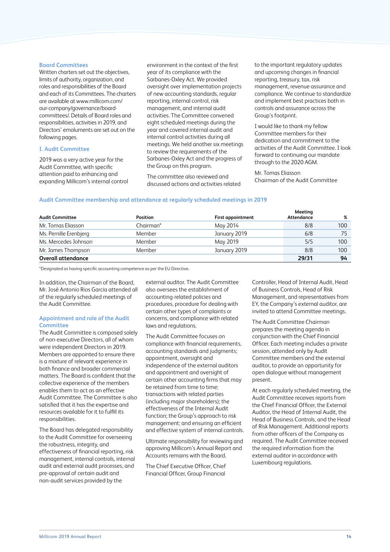### **Board Committees**

Written charters set out the objectives, limits of authority, organization, and roles and responsibilities of the Board and each of its Committees. The charters are available at www.millicom.com/ our-company/governance/boardcommittees/. Details of Board roles and responsibilities, activities in 2019, and Directors' emoluments are set out on the following pages.

# **I. Audit Committee**

2019 was a very active year for the Audit Committee, with specific attention paid to enhancing and expanding Millicom's internal control environment in the context of the first year of its compliance with the Sarbanes-Oxley Act. We provided oversight over implementation projects of new accounting standards, regular reporting, internal control, risk management, and internal audit activities. The Committee convened eight scheduled meetings during the year and covered internal audit and internal control activities during all meetings. We held another six meetings to review the requirements of the Sarbanes-Oxley Act and the progress of the Group on this program.

The committee also reviewed and discussed actions and activities related to the important regulatory updates and upcoming changes in financial reporting, treasury, tax, risk management, revenue assurance and compliance. We continue to standardize and implement best practices both in controls and assurance across the Group's footprint.

I would like to thank my fellow Committee members for their dedication and commitment to the activities of the Audit Committee. I look forward to continuing our mandate through to the 2020 AGM.

Mr. Tomas Eliasson Chairman of the Audit Committee

# **Audit Committee membership and attendance at regularly scheduled meetings in 2019**

|                           |                 |                          | Meeting    |     |
|---------------------------|-----------------|--------------------------|------------|-----|
| <b>Audit Committee</b>    | <b>Position</b> | <b>First appointment</b> | Attendance | %   |
| Mr. Tomas Eliasson        | Chairman*       | May 2014                 | 8/8        | 100 |
| Ms. Pernille Erenbjerg    | Member          | January 2019             | 6/8        |     |
| Ms. Mercedes Johnson      | Member          | May 2019                 | 5/5        | 100 |
| Mr. James Thompson        | Member          | January 2019             | 8/8        | 100 |
| <b>Overall attendance</b> |                 |                          | 29/31      | 94  |

\*Designated as having specific accounting competence as per the EU Directive.

In addition, the Chairman of the Board, Mr. José Antonio Rios Garcia attended all of the regularly scheduled meetings of the Audit Committee.

# **Appointment and role of the Audit Committee**

The Audit Committee is composed solely of non-executive Directors, all of whom were independent Directors in 2019. Members are appointed to ensure there is a mixture of relevant experience in both finance and broader commercial matters. The Board is confident that the collective experience of the members enables them to act as an effective Audit Committee. The Committee is also satisfied that it has the expertise and resources available for it to fulfill its responsibilities.

The Board has delegated responsibility to the Audit Committee for overseeing the robustness, integrity, and effectiveness of financial reporting, risk management, internal controls, internal audit and external audit processes, and pre-approval of certain audit and non-audit services provided by the

external auditor. The Audit Committee also oversees the establishment of accounting-related policies and procedures, procedure for dealing with certain other types of complaints or concerns, and compliance with related laws and regulations.

The Audit Committee focuses on compliance with financial requirements, accounting standards and judgments; appointment, oversight and independence of the external auditors and appointment and oversight of certain other accounting firms that may be retained from time to time; transactions with related parties (including major shareholders); the effectiveness of the Internal Audit function; the Group's approach to risk management; and ensuring an efficient and effective system of internal controls.

Ultimate responsibility for reviewing and approving Millicom's Annual Report and Accounts remains with the Board.

The Chief Executive Officer, Chief Financial Officer, Group Financial Controller, Head of Internal Audit, Head of Business Controls, Head of Risk Management, and representatives from EY, the Company's external auditor, are invited to attend Committee meetings.

The Audit Committee Chairman prepares the meeting agenda in conjunction with the Chief Financial Officer. Each meeting includes a private session, attended only by Audit Committee members and the external auditor, to provide an opportunity for open dialogue without management present.

At each regularly scheduled meeting, the Audit Committee receives reports from the Chief Financial Officer, the External Auditor, the Head of Internal Audit, the Head of Business Controls, and the Head of Risk Management. Additional reports from other officers of the Company as required. The Audit Committee received the required information from the external auditor in accordance with Luxembourg regulations.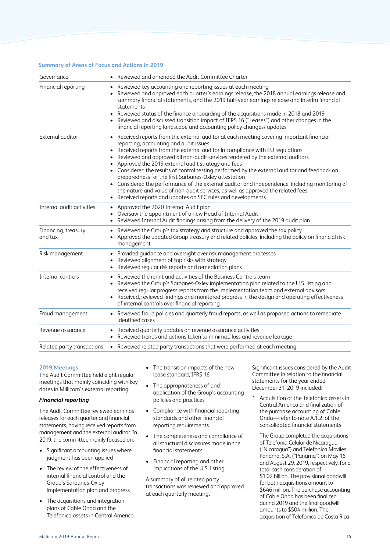### **Summary of Areas of Focus and Actions in 2019**

| Governance                     | • Reviewed and amended the Audit Committee Charter                                                                                                                                                                                                                                                                                                                                                                                                                                                                                                                                                                                                                                                                                                                        |
|--------------------------------|---------------------------------------------------------------------------------------------------------------------------------------------------------------------------------------------------------------------------------------------------------------------------------------------------------------------------------------------------------------------------------------------------------------------------------------------------------------------------------------------------------------------------------------------------------------------------------------------------------------------------------------------------------------------------------------------------------------------------------------------------------------------------|
| Financial reporting            | • Reviewed key accounting and reporting issues at each meeting<br>• Reviewed and approved each quarter's earnings release, the 2018 annual earnings release and<br>summary financial statements, and the 2019 half-year earnings release and interim financial<br>statements<br>Reviewed status of the finance onboarding of the acquisitions made in 2018 and 2019<br>• Reviewed and discussed transition impact of IFRS 16 ("Leases") and other changes in the<br>financial reporting landscape and accounting policy changes/ updates                                                                                                                                                                                                                                  |
| External auditor               | • Received reports from the external auditor at each meeting covering important financial<br>reporting, accounting and audit issues<br>Received reports from the external auditor in compliance with EU regulations<br>Reviewed and approved all non-audit services rendered by the external auditors<br>Approved the 2019 external audit strategy and fees<br>• Considered the results of control testing performed by the external auditor and feedback on<br>preparedness for the first Sarbanes-Oxley attestation<br>• Considered the performance of the external auditor and independence, including monitoring of<br>the nature and value of non-audit services, as well as approved the related fees<br>Received reports and updates on SEC rules and developments |
| Internal audit activities      | Approved the 2020 Internal Audit plan<br>Oversaw the appointment of a new Head of Internal Audit<br>Reviewed Internal Audit findings arising from the delivery of the 2019 audit plan                                                                                                                                                                                                                                                                                                                                                                                                                                                                                                                                                                                     |
| Financing, treasury<br>and tax | • Reviewed the Group's tax strategy and structure and approved the tax policy<br>• Approved the updated Group treasury and related policies, including the policy on financial risk<br>management                                                                                                                                                                                                                                                                                                                                                                                                                                                                                                                                                                         |
| Risk management                | Provided guidance and oversight over risk management processes<br>Reviewed alignment of top risks with strategy<br>Reviewed regular risk reports and remediation plans                                                                                                                                                                                                                                                                                                                                                                                                                                                                                                                                                                                                    |
| Internal controls              | Reviewed the remit and activities of the Business Controls team<br>Reviewed the Group's Sarbanes-Oxley implementation plan related to the U.S. listing and<br>received regular progress reports from the implementation team and external advisors<br>• Received, reviewed findings and monitored progress in the design and operating effectiveness<br>of internal controls over financial reporting                                                                                                                                                                                                                                                                                                                                                                     |
| Fraud management               | • Reviewed fraud policies and quarterly fraud reports, as well as proposed actions to remediate<br>identified cases                                                                                                                                                                                                                                                                                                                                                                                                                                                                                                                                                                                                                                                       |
| Revenue assurance              | • Received quarterly updates on revenue assurance activities<br>• Reviewed trends and actions taken to minimize loss and revenue leakage                                                                                                                                                                                                                                                                                                                                                                                                                                                                                                                                                                                                                                  |
| Related party transactions     | • Reviewed related party transactions that were performed at each meeting                                                                                                                                                                                                                                                                                                                                                                                                                                                                                                                                                                                                                                                                                                 |
|                                |                                                                                                                                                                                                                                                                                                                                                                                                                                                                                                                                                                                                                                                                                                                                                                           |

#### **2019 Meetings**

The Audit Committee held eight regular meetings that mainly coinciding with key dates in Millicom's external reporting:

# *Financial reporting*

The Audit Committee reviewed earnings releases for each quarter and financial statements, having received reports from management and the external auditor. In 2019, the committee mainly focused on:

- Significant accounting issues where judgment has been applied
- The review of the effectiveness of internal financial control and the Group's Sarbanes-Oxley implementation plan and progress
- The acquisitions and integration plans of Cable Onda and the Telefonica assets in Central America
- The transition impacts of the new lease standard, IFRS 16
- The appropriateness of and application of the Group's accounting policies and practices
- Compliance with financial reporting standards and other financial reporting requirements
- The completeness and compliance of all structural disclosures made in the financial statements
- Financial reporting and other implications of the U.S. listing

A summary of all related party transactions was reviewed and approved at each quarterly meeting.

Significant issues considered by the Audit Committee in relation to the financial statements for the year ended December 31, 2019 included:

1 Acquisition of the Telefonica assets in Central America and finalization of the purchase accounting of Cable Onda—refer to note A.1.2. of the consolidated financial statements

The Group completed the acquisitions of Telefonia Celular de Nicaragua ("Nicaragua") and Telefonica Moviles Panama, S.A. ("Panama") on May 16 and August 29, 2019, respectively, for a total cash consideration of \$1.02 billion. The provisional goodwill for both acquisitions amount to \$646 million. The purchase accounting of Cable Onda has been finalized during 2019 and the final goodwill amounts to \$504 million. The acquisition of Telefonica de Costa Rica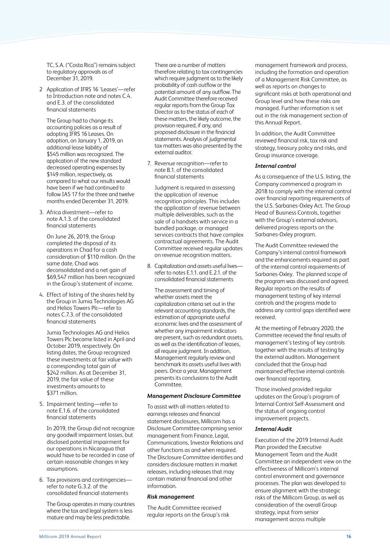TC, S.A. ("Costa Rica") remains subject to regulatory approvals as of December 31, 2019.

2 Application of IFRS 16 'Leases'—refer to Introduction note and notes C.4. and E.3. of the consolidated financial statements

The Group had to change its accounting policies as a result of adopting IFRS 16 Leases. On adoption, on January 1, 2019, an additional lease liability of \$545 million was recognized. The application of the new standard decreased operating expenses by \$149 million, respectively, as compared to what our results would have been if we had continued to follow IAS 17 for the three and twelve months ended December 31, 2019.

3. Africa divestment—refer to note A.1.3. of the consolidated financial statements

On June 26, 2019, the Group completed the disposal of its operations in Chad for a cash consideration of \$110 million. On the same date, Chad was deconsolidated and a net gain of \$69,547 million has been recognized in the Group's statement of income.

4. Effect of listing of the shares held by the Group in Jumia Technologies AG and Helios Towers Plc—refer to notes C.7.3. of the consolidated financial statements

Jumia Technologies AG and Helios Towers Plc became listed in April and October 2019, respectively. On listing dates, the Group recognized these investments at fair value with a corresponding total gain of \$242 million. As at December 31, 2019, the fair value of these investments amounts to \$371 million.

5. Impairment testing—refer to note E.1.6. of the consolidated financial statements

In 2019, the Group did not recognize any goodwill impairment losses, but disclosed potential impairment for our operations in Nicaragua that would have to be recorded in case of certain reasonable changes in key assumptions.

6. Tax provisions and contingencies refer to note  $G$  3.2 of the consolidated financial statements

The Group operates in many countries where the tax and legal system is less mature and may be less predictable.

There are a number of matters therefore relating to tax contingencies which require judgment as to the likely probability of cash outflow or the potential amount of any outflow. The Audit Committee therefore received regular reports from the Group Tax Director as to the status of each of these matters, the likely outcome, the provision required, if any, and proposed disclosure in the financial statements. Analysis of judgmental tax matters was also presented by the external auditor.

7. Revenue recognition—refer to note B.1. of the consolidated financial statements

Judgment is required in assessing the application of revenue recognition principles. This includes the application of revenue between multiple deliverables, such as the sale of a handsets with service in a bundled package, or managed services contracts that have complex contractual agreements. The Audit Committee received regular updates on revenue recognition matters.

8. Capitalization and assets useful lives refer to notes E.1.1. and E.2.1. of the consolidated financial statements

The assessment and timing of whether assets meet the capitalization criteria set out in the relevant accounting standards, the estimation of appropriate useful economic lives and the assessment of whether any impairment indicators are present, such as redundant assets, as well as the identification of leases, all require judgment. In addition, Management regularly review and benchmark its assets useful lives with peers. Once a year, Management presents its conclusions to the Audit .<br>Committee

# *Management Disclosure Committee*

To assist with all matters related to earnings releases and financial statement disclosures, Millicom has a Disclosure Committee comprising senior management from Finance, Legal, Communications, Investor Relations and other functions as and when required. The Disclosure Committee identifies and considers disclosure matters in market releases, including releases that may contain material financial and other information.

# *Risk management*

The Audit Committee received regular reports on the Group's risk management framework and process, including the formation and operation of a Management Risk Committee, as well as reports on changes to significant risks at both operational and Group level and how these risks are managed. Further information is set out in the risk management section of this Annual Report.

In addition, the Audit Committee reviewed financial risk, tax risk and strategy, treasury policy and risks, and Group insurance coverage.

# *Internal control*

As a consequence of the U.S. listing, the Company commenced a program in 2018 to comply with the internal control over financial reporting requirements of the U.S. Sarbanes-Oxley Act. The Group Head of Business Controls, together with the Group's external advisors, delivered progress reports on the Sarbanes-Oxley program.

The Audit Committee reviewed the Company's internal control framework and the enhancements required as part of the internal control requirements of Sarbanes-Oxley. The planned scope of the program was discussed and agreed. Regular reports on the results of management testing of key internal controls and the progress made to address any control gaps identified were received.

At the meeting of February 2020, the Committee received the final results of management's testing of key controls together with the results of testing by the external auditors. Management concluded that the Group had maintained effective internal controls over financial reporting.

Those involved provided regular updates on the Group's program of Internal Control Self-Assessment and the status of ongoing control improvement projects.

# *Internal Audit*

Execution of the 2019 Internal Audit Plan provided the Executive Management Team and the Audit Committee an independent view on the effectiveness of Millicom's internal control environment and governance processes. The plan was developed to ensure alignment with the strategic risks of the Millicom Group, as well as consideration of the overall Group strategy, input from senior management across multiple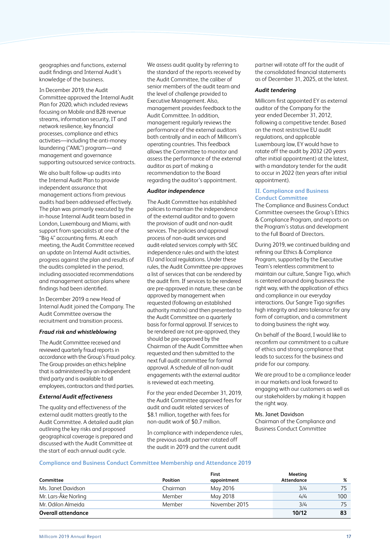geographies and functions, external audit findings and Internal Audit's knowledge of the business.

In December 2019, the Audit Committee approved the Internal Audit Plan for 2020, which included reviews focusing on Mobile and B2B revenue streams, information security, IT and network resilience, key financial processes, compliance and ethics activities—including the anti-money laundering ("AML") program—and management and governance supporting outsourced service contracts.

We also built follow-up audits into the Internal Audit Plan to provide independent assurance that management actions from previous audits had been addressed effectively. The plan was primarily executed by the in-house Internal Audit team based in London, Luxembourg and Miami, with support from specialists at one of the "Big 4" accounting firms. At each meeting, the Audit Committee received an update on Internal Audit activities, progress against the plan and results of the audits completed in the period, including associated recommendations and management action plans where findings had been identified.

In December 2019 a new Head of Internal Audit joined the Company. The Audit Committee oversaw the recruitment and transition process.

#### *Fraud risk and whistleblowing*

The Audit Committee received and reviewed quarterly fraud reports in accordance with the Group's Fraud policy. The Group provides an ethics helpline that is administered by an independent third party and is available to all employees, contractors and third parties.

# *External Audit effectiveness*

The quality and effectiveness of the external audit matters greatly to the Audit Committee. A detailed audit plan outlining the key risks and proposed geographical coverage is prepared and discussed with the Audit Committee at the start of each annual audit cycle.

We assess audit quality by referring to the standard of the reports received by the Audit Committee, the caliber of senior members of the audit team and the level of challenge provided to Executive Management. Also, management provides feedback to the Audit Committee. In addition, management regularly reviews the performance of the external auditors both centrally and in each of Millicom's operating countries. This feedback allows the Committee to monitor and assess the performance of the external auditor as part of making a recommendation to the Board regarding the auditor's appointment.

# *Auditor independence*

The Audit Committee has established policies to maintain the independence of the external auditor and to govern the provision of audit and non-audit services. The policies and approval process of non-audit services and audit-related services comply with SEC independence rules and with the latest EU and local regulations. Under these rules, the Audit Committee pre-approves a list of services that can be rendered by the audit firm. If services to be rendered are pre-approved in nature, these can be approved by management when requested (following an established authority matrix) and then presented to the Audit Committee on a quarterly basis for formal approval. If services to be rendered are not pre-approved, they should be pre-approved by the Chairman of the Audit Committee when requested and then submitted to the next full audit committee for formal approval. A schedule of all non-audit engagements with the external auditor is reviewed at each meeting.

For the year ended December 31, 2019, the Audit Committee approved fees for audit and audit related services of \$8.1 million, together with fees for non-audit work of \$0.7 million.

In compliance with independence rules, the previous audit partner rotated off the audit in 2019 and the current audit

partner will rotate off for the audit of the consolidated financial statements as of December 31, 2025, at the latest.

#### *Audit tendering*

Millicom first appointed EY as external auditor of the Company for the year ended December 31, 2012, following a competitive tender. Based on the most restrictive EU audit regulations, and applicable Luxembourg law, EY would have to rotate off the audit by 2032 (20 years after initial appointment) at the latest, with a mandatory tender for the audit to occur in 2022 (ten years after initial appointment).

# **II. Compliance and Business Conduct Committee**

The Compliance and Business Conduct Committee oversees the Group's Ethics & Compliance Program, and reports on the Program's status and development to the full Board of Directors.

During 2019, we continued building and refining our Ethics & Compliance Program, supported by the Executive Team's relentless commitment to maintain our culture, Sangre Tigo, which is centered around doing business the right way, with the application of ethics and compliance in our everyday interactions. Our Sangre Tigo signifies high integrity and zero tolerance for any form of corruption, and a commitment to doing business the right way.

On behalf of the Board, I would like to reconfirm our commitment to a culture of ethics and strong compliance that leads to success for the business and pride for our company.

We are proud to be a compliance leader in our markets and look forward to engaging with our customers as well as our stakeholders by making it happen the right way.

# Ms. Janet Davidson

Chairman of the Compliance and Business Conduct Committee

# **Compliance and Business Conduct Committee Membership and Attendance 2019**

| Committee            | <b>Position</b> | <b>First</b><br>appointment | Meeting<br><b>Attendance</b> | %   |
|----------------------|-----------------|-----------------------------|------------------------------|-----|
| Ms. Janet Davidson   | Chairman        | May 2016                    | 3/4                          | 75  |
| Mr. Lars-Åke Norling | Member          | May 2018                    | 4/4                          | 100 |
| Mr. Odilon Almeida   | Member          | November 2015               | 3/4                          | 75  |
| Overall attendance   |                 |                             | 10/12                        | 83  |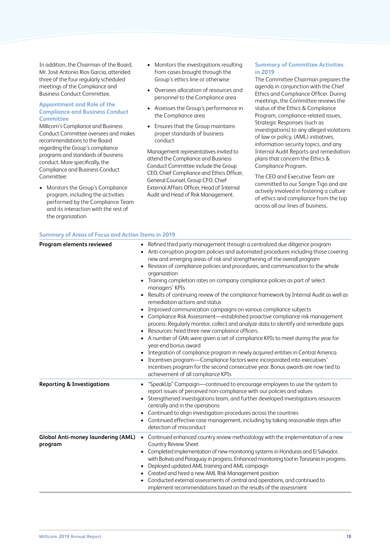In addition, the Chairman of the Board, Mr. José Antonio Rios Garcia, attended three of the four regularly scheduled meetings of the Compliance and Business Conduct Committee.

# **Appointment and Role of the Compliance and Business Conduct Committee**

Millicom's Compliance and Business Conduct Committee oversees and makes recommendations to the Board regarding the Group's compliance programs and standards of business conduct. More specifically, the Compliance and Business Conduct Committee:

• Monitors the Group's Compliance program, including the activities performed by the Compliance Team and its interaction with the rest of the organization

- Monitors the investigations resulting from cases brought through the Group's ethics line or otherwise
- Oversees allocation of resources and personnel to the Compliance area
- Assesses the Group's performance in the Compliance area
- Ensures that the Group maintains proper standards of business conduct

Management representatives invited to attend the Compliance and Business Conduct Committee include the Group CEO, Chief Compliance and Ethics Officer, General Counsel, Group CFO, Chief External Affairs Officer, Head of Internal Audit and Head of Risk Management.

# **Summary of Committee Activities in 2019**

The Committee Chairman prepares the agenda in conjunction with the Chief Ethics and Compliance Officer. During meetings, the Committee reviews the status of the Ethics & Compliance Program, compliance-related issues, Strategic Responses (such as investigations) to any alleged violations of law or policy, (AML) initiatives, information security topics, and any Internal Audit Reports and remediation plans that concern the Ethics & Compliance Program.

The CEO and Executive Team are committed to our Sangre Tigo and are actively involved in fostering a culture of ethics and compliance from the top across all our lines of business.

| Program elements reviewed                            | • Refined third party management through a centralized due diligence program<br>Anti-corruption program policies and automated procedures including those covering<br>new and emerging areas of risk and strengthening of the overall program<br>Revision of compliance policies and procedures, and communication to the whole<br>$\bullet$<br>organization<br>• Training completion rates on company compliance policies as part of select<br>managers' KPIs<br>Results of continuing review of the compliance framework by Internal Audit as well as<br>remediation actions and status<br>Improved communication campaigns on various compliance subjects<br>• Compliance Risk Assessment-established proactive compliance risk management<br>process. Regularly monitor, collect and analyze data to identify and remediate gaps<br>• Resources: hired three new compliance officers.<br>• A number of GMs were given a set of compliance KPIs to meet during the year for<br>year-end bonus award<br>Integration of compliance program in newly acquired entities in Central America<br>• Incentives program-Compliance factors were incorporated into executives'<br>incentives program for the second consecutive year. Bonus awards are now tied to<br>achievement of all compliance KPIs |
|------------------------------------------------------|---------------------------------------------------------------------------------------------------------------------------------------------------------------------------------------------------------------------------------------------------------------------------------------------------------------------------------------------------------------------------------------------------------------------------------------------------------------------------------------------------------------------------------------------------------------------------------------------------------------------------------------------------------------------------------------------------------------------------------------------------------------------------------------------------------------------------------------------------------------------------------------------------------------------------------------------------------------------------------------------------------------------------------------------------------------------------------------------------------------------------------------------------------------------------------------------------------------------------------------------------------------------------------------------------|
| <b>Reporting &amp; Investigations</b>                | • "SpeakUp" Campaign-continued to encourage employees to use the system to<br>report issues of perceived non-compliance with our policies and values<br>Strengthened investigations team, and further developed investigations resources<br>$\bullet$<br>centrally and in the operations<br>• Continued to align investigation procedures across the countries<br>Continued effective case management, including by taking reasonable steps after<br>detection of misconduct                                                                                                                                                                                                                                                                                                                                                                                                                                                                                                                                                                                                                                                                                                                                                                                                                      |
| <b>Global Anti-money laundering (AML)</b><br>program | Continued enhanced country review methodology with the implementation of a new<br>$\bullet$<br>Country Review Sheet<br>Completed implementation of new monitoring systems in Honduras and El Salvador,<br>$\bullet$<br>with Bolivia and Paraguay in progress. Enhanced monitoring tool in Tanzania in progress.<br>Deployed updated AML training and AML campaign<br>Created and hired a new AML Risk Management position<br>Conducted external assessments of central and operations, and continued to<br>implement recommendations based on the results of the assessment                                                                                                                                                                                                                                                                                                                                                                                                                                                                                                                                                                                                                                                                                                                       |

**Summary of Areas of Focus and Action Items in 2019**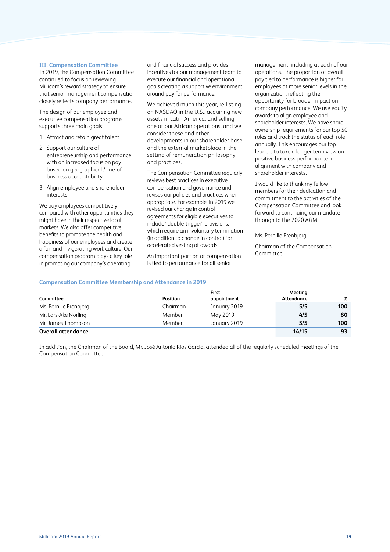# **III. Compensation Committee**

In 2019, the Compensation Committee continued to focus on reviewing Millicom's reward strategy to ensure that senior management compensation closely reflects company performance.

The design of our employee and executive compensation programs supports three main goals:

- 1. Attract and retain great talent
- 2. Support our culture of entrepreneurship and performance, with an increased focus on pay based on geographical / line-ofbusiness accountability
- 3. Align employee and shareholder interests

We pay employees competitively compared with other opportunities they might have in their respective local markets. We also offer competitive benefits to promote the health and happiness of our employees and create a fun and invigorating work culture. Our compensation program plays a key role in promoting our company's operating

and financial success and provides incentives for our management team to execute our financial and operational goals creating a supportive environment around pay for performance.

We achieved much this year, re-listing on NASDAQ in the U.S., acquiring new assets in Latin America, and selling one of our African operations, and we consider these and other developments in our shareholder base and the external marketplace in the setting of remuneration philosophy and practices.

The Compensation Committee regularly reviews best practices in executive compensation and governance and revises our policies and practices when appropriate. For example, in 2019 we revised our change in control agreements for eligible executives to include "double-trigger" provisions, which require an involuntary termination (in addition to change in control) for accelerated vesting of awards.

An important portion of compensation is tied to performance for all senior

management, including at each of our operations. The proportion of overall pay tied to performance is higher for employees at more senior levels in the organization, reflecting their opportunity for broader impact on company performance. We use equity awards to align employee and shareholder interests. We have share ownership requirements for our top 50 roles and track the status of each role annually. This encourages our top leaders to take a longer-term view on positive business performance in alignment with company and shareholder interests.

I would like to thank my fellow members for their dedication and commitment to the activities of the Compensation Committee and look forward to continuing our mandate through to the 2020 AGM.

Ms. Pernille Erenbjerg

Chairman of the Compensation Committee

# **Compensation Committee Membership and Attendance in 2019**

| Committee                 | <b>Position</b> | First<br>appointment | Meeting<br>Attendance | %   |
|---------------------------|-----------------|----------------------|-----------------------|-----|
| Ms. Pernille Erenbjerg    | Chairman        | January 2019         | 5/5                   | 100 |
| Mr. Lars-Ake Norling      | Member          | May 2019             | 4/5                   | 80  |
| Mr. James Thompson        | Member          | January 2019         | 5/5                   | 100 |
| <b>Overall attendance</b> |                 |                      | 14/15                 | 93  |

In addition, the Chairman of the Board, Mr. José Antonio Rios Garcia, attended all of the regularly scheduled meetings of the Compensation Committee.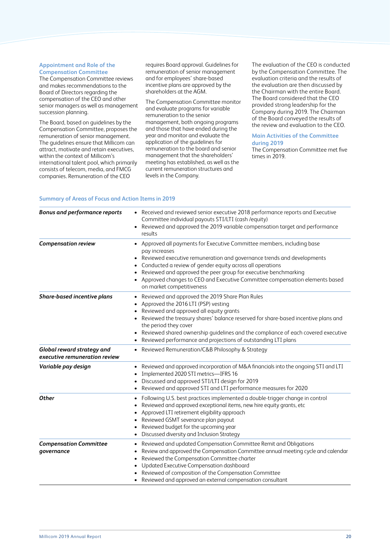### **Appointment and Role of the Compensation Committee**

The Compensation Committee reviews and makes recommendations to the Board of Directors regarding the compensation of the CEO and other senior managers as well as management succession planning.

The Board, based on guidelines by the Compensation Committee, proposes the remuneration of senior management. The guidelines ensure that Millicom can attract, motivate and retain executives, within the context of Millicom's international talent pool, which primarily consists of telecom, media, and FMCG companies. Remuneration of the CEO

requires Board approval. Guidelines for remuneration of senior management and for employees' share-based incentive plans are approved by the shareholders at the AGM.

The Compensation Committee monitor and evaluate programs for variable remuneration to the senior management, both ongoing programs and those that have ended during the year and monitor and evaluate the application of the guidelines for remuneration to the board and senior management that the shareholders' meeting has established, as well as the current remuneration structures and levels in the Company.

The evaluation of the CEO is conducted by the Compensation Committee. The evaluation criteria and the results of the evaluation are then discussed by the Chairman with the entire Board. The Board considered that the CEO provided strong leadership for the Company during 2019. The Chairman of the Board conveyed the results of the review and evaluation to the CEO.

# **Main Activities of the Committee during 2019**

The Compensation Committee met five times in 2019.

# **Summary of Areas of Focus and Action Items in 2019**

| <b>Bonus and performance reports</b>                        | • Received and reviewed senior executive 2018 performance reports and Executive<br>Committee individual payouts STI/LTI (cash /equity)<br>Reviewed and approved the 2019 variable compensation target and performance<br>results                                                                                                                                                                                    |
|-------------------------------------------------------------|---------------------------------------------------------------------------------------------------------------------------------------------------------------------------------------------------------------------------------------------------------------------------------------------------------------------------------------------------------------------------------------------------------------------|
| <b>Compensation review</b>                                  | • Approved all payments for Executive Committee members, including base<br>pay increases<br>• Reviewed executive remuneration and governance trends and developments<br>Conducted a review of gender equity across all operations<br>Reviewed and approved the peer group for executive benchmarking<br>• Approved changes to CEO and Executive Committee compensation elements based<br>on market competitiveness  |
| Share-based incentive plans                                 | Reviewed and approved the 2019 Share Plan Rules<br>$\bullet$<br>Approved the 2016 LTI (PSP) vesting<br>Reviewed and approved all equity grants<br>Reviewed the treasury shares' balance reserved for share-based incentive plans and<br>the period they cover<br>Reviewed shared ownership guidelines and the compliance of each covered executive<br>Reviewed performance and projections of outstanding LTI plans |
| Global reward strategy and<br>executive remuneration review | • Reviewed Remuneration/C&B Philosophy & Strategy                                                                                                                                                                                                                                                                                                                                                                   |
| Variable pay design                                         | Reviewed and approved incorporation of M&A financials into the ongoing STI and LTI<br>Implemented 2020 STI metrics-IFRS 16<br>Discussed and approved STI/LTI design for 2019<br>Reviewed and approved STI and LTI performance measures for 2020                                                                                                                                                                     |
| <b>Other</b>                                                | Following U.S. best practices implemented a double-trigger change in control<br>Reviewed and approved exceptional items, new hire equity grants, etc<br>Approved LTI retirement eligibility approach<br>Reviewed GSMT severance plan payout<br>Reviewed budget for the upcoming year<br>Discussed diversity and Inclusion Strategy                                                                                  |
| <b>Compensation Committee</b><br>governance                 | Reviewed and updated Compensation Committee Remit and Obligations<br>٠<br>Review and approved the Compensation Committee annual meeting cycle and calendar<br>Reviewed the Compensation Committee charter<br>$\bullet$<br>Updated Executive Compensation dashboard<br>$\bullet$<br>Reviewed of composition of the Compensation Committee<br>• Reviewed and approved an external compensation consultant             |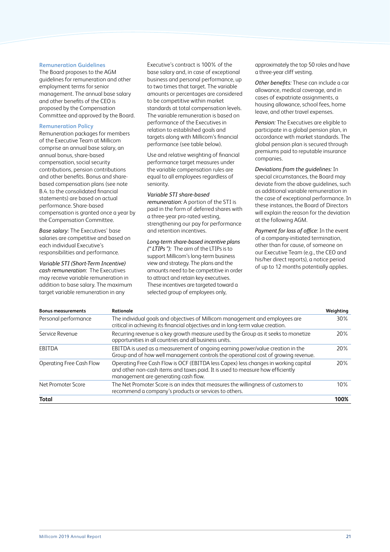### **Remuneration Guidelines**

The Board proposes to the AGM guidelines for remuneration and other employment terms for senior management. The annual base salary and other benefits of the CEO is proposed by the Compensation Committee and approved by the Board.

### **Remuneration Policy**

Remuneration packages for members of the Executive Team at Millicom comprise an annual base salary, an annual bonus, share-based compensation, social security contributions, pension contributions and other benefits. Bonus and sharebased compensation plans (see note B.4. to the consolidated financial statements) are based on actual performance. Share-based compensation is granted once a year by the Compensation Committee.

*Base salary:* The Executives' base salaries are competitive and based on each individual Executive's responsibilities and performance.

*Variable STI (Short-Term Incentive) cash remuneration*: The Executives may receive variable remuneration in addition to base salary. The maximum target variable remuneration in any

Executive's contract is 100% of the base salary and, in case of exceptional business and personal performance, up to two times that target. The variable amounts or percentages are considered to be competitive within market standards at total compensation levels. The variable remuneration is based on performance of the Executives in relation to established goals and targets along with Millicom's financial performance (see table below).

Use and relative weighting of financial performance target measures under the variable compensation rules are equal to all employees regardless of seniority.

# *Variable STI share-based*

*remuneration:* A portion of the STI is paid in the form of deferred shares with a three-year pro-rated vesting, strengthening our pay for performance and retention incentives.

*Long-term share-based incentive plans (" LTIPs "):* The aim of the LTIPs is to support Millicom's long-term business view and strategy. The plans and the amounts need to be competitive in order to attract and retain key executives. These incentives are targeted toward a selected group of employees only,

approximately the top 50 roles and have a three-year cliff vesting.

*Other benefits:* These can include a car allowance, medical coverage, and in cases of expatriate assignments, a housing allowance, school fees, home leave, and other travel expenses.

*Pension:* The Executives are eligible to participate in a global pension plan, in accordance with market standards. The global pension plan is secured through premiums paid to reputable insurance companies.

*Deviations from the guidelines:* In special circumstances, the Board may deviate from the above guidelines, such as additional variable remuneration in the case of exceptional performance. In these instances, the Board of Directors will explain the reason for the deviation at the following AGM.

*Payment for loss of office:* In the event of a company-initiated termination, other than for cause, of someone on our Executive Team (e.g., the CEO and his/her direct reports), a notice period of up to 12 months potentially applies.

| <b>Bonus measurements</b> | Rationale                                                                                                                                                                                                     | Weighting       |
|---------------------------|---------------------------------------------------------------------------------------------------------------------------------------------------------------------------------------------------------------|-----------------|
| Personal performance      | The individual goals and objectives of Millicom management and employees are<br>critical in achieving its financial objectives and in long-term value creation.                                               | 30%             |
| Service Revenue           | Recurring revenue is a key growth measure used by the Group as it seeks to monetize<br>opportunities in all countries and all business units.                                                                 | 20 <sup>%</sup> |
| EBITDA                    | EBITDA is used as a measurement of ongoing earning power/value creation in the<br>Group and of how well management controls the operational cost of growing revenue.                                          | 20%             |
| Operating Free Cash Flow  | Operating Free Cash Flow is OCF (EBITDA less Capex) less changes in working capital<br>and other non-cash items and taxes paid. It is used to measure how efficiently<br>management are generating cash flow. | 20%             |
| Net Promoter Score        | The Net Promoter Score is an index that measures the willingness of customers to<br>recommend a company's products or services to others.                                                                     | 10%             |
| Total                     |                                                                                                                                                                                                               | 100%            |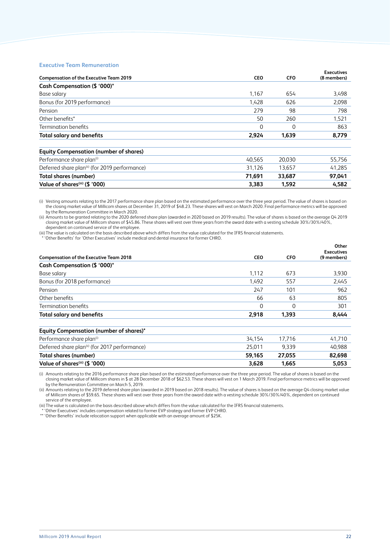#### **Executive Team Remuneration**

|                                                            |            |            | <b>Executives</b> |
|------------------------------------------------------------|------------|------------|-------------------|
| <b>Compensation of the Executive Team 2019</b>             | <b>CEO</b> | <b>CFO</b> | (8 members)       |
| Cash Compensation (\$ '000)*                               |            |            |                   |
| Base salary                                                | 1,167      | 654        | 3,498             |
| Bonus (for 2019 performance)                               | 1.428      | 626        | 2,098             |
| Pension                                                    | 279        | 98         | 798               |
| Other benefits*                                            | 50         | 260        | 1,521             |
| Termination benefits                                       | $\Omega$   | $\Omega$   | 863               |
| <b>Total salary and benefits</b>                           | 2,924      | 1,639      | 8,779             |
| <b>Equity Compensation (number of shares)</b>              |            |            |                   |
| Performance share plan <sup>(i)</sup>                      | 40.565     | 20.030     | 55,756            |
| Deferred share plan <sup>(ii)</sup> (for 2019 performance) | 31,126     | 13,657     | 41,285            |
| Total shares (number)                                      | 71,691     | 33,687     | 97,041            |
| Value of shares <sup>(iii)</sup> (\$ '000)                 | 3,383      | 1,592      | 4,582             |

(i) Vesting amounts relating to the 2017 performance share plan based on the estimated performance over the three year period. The value of shares is based on the closing market value of Millicom shares at December 31, 2019 of \$48.23. These shares will vest on March 2020. Final performance metrics will be approved by the Remuneration Committee in March 2020.

(ii) Amounts to be granted relating to the 2020 deferred share plan (awarded in 2020 based on 2019 results). The value of shares is based on the average Q4 2019 closing market value of Millicom shares of \$45.86. These shares will vest over three years from the award date with a vesting schedule 30%/30%/40%, dependent on continued service of the employee.

(iii)The value is calculated on the basis described above which differs from the value calculated for the IFRS financial statements.

\* 'Other Benefits' for 'Other Executives' include medical and dental insurance for former CHRO.

| <b>Compensation of the Executive Team 2018</b>             | <b>CEO</b> | <b>CFO</b> | Other<br><b>Executives</b><br>(9 members) |
|------------------------------------------------------------|------------|------------|-------------------------------------------|
| Cash Compensation (\$ '000)*                               |            |            |                                           |
| Base salary                                                | 1.112      | 673        | 3,930                                     |
| Bonus (for 2018 performance)                               | 1.492      | 557        | 2,445                                     |
| Pension                                                    | 247        | 101        | 962                                       |
| Other benefits                                             | 66         | 63         | 805                                       |
| <b>Termination benefits</b>                                | 0          | 0          | 301                                       |
| <b>Total salary and benefits</b>                           | 2,918      | 1,393      | 8,444                                     |
| <b>Equity Compensation (number of shares)*</b>             |            |            |                                           |
| Performance share plan <sup>(i)</sup>                      | 34,154     | 17,716     | 41,710                                    |
| Deferred share plan <sup>(ii)</sup> (for 2017 performance) | 25.011     | 9,339      | 40.988                                    |
| Total shares (number)                                      | 59,165     | 27,055     | 82,698                                    |
| Value of shares <sup>(iii)</sup> (\$ '000)                 | 3,628      | 1,665      | 5,053                                     |

(i) Amounts relating to the 2016 performance share plan based on the estimated performance over the three year period. The value of shares is based on the closing market value of Millicom shares in \$ at 28 December 2018 of \$62.53. These shares will vest on 1 March 2019. Final performance metrics will be approved by the Remuneration Committee on March 5, 2019.

(ii) Amounts relating to the 2019 deferred share plan (awarded in 2019 based on 2018 results). The value of shares is based on the average Q4 closing market value of Millicom shares of \$59.65. These shares will vest over three years from the award date with a vesting schedule 30%/30%/40%, dependent on continued service of the employee.

(iii)The value is calculated on the basis described above which differs from the value calculated for the IFRS financial statements.

\* 'Other Executives' includes compensation related to former EVP strategy and former EVP CHRO.

\*\* 'Other Benefits' include relocation support when applicable with an average amount of \$25K.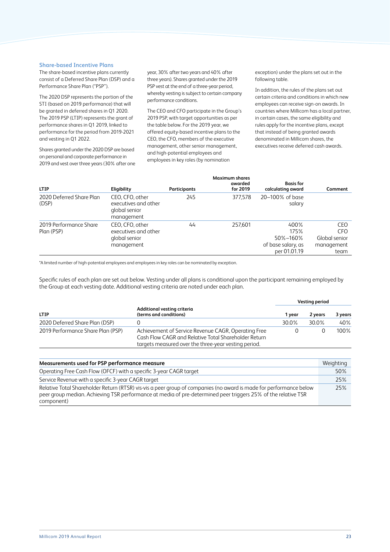### **Share-based Incentive Plans**

The share-based incentive plans currently consist of a Deferred Share Plan (DSP) and a Performance Share Plan ("PSP").

The 2020 DSP represents the portion of the STI (based on 2019 performance) that will be granted in deferred shares in Q1 2020. The 2019 PSP (LTIP) represents the grant of performance shares in Q1 2019, linked to performance for the period from 2019-2021 and vesting in Q1 2022.

Shares granted under the 2020 DSP are based on personal and corporate performance in 2019 and vest over three years (30% after one year, 30% after two years and 40% after three years). Shares granted under the 2019 PSP vest at the end of a three-year period, whereby vesting is subject to certain company performance conditions.

The CEO and CFO participate in the Group's 2019 PSP, with target opportunities as per the table below. For the 2019 year, we offered equity-based incentive plans to the CEO, the CFO, members of the executive management, other senior management, and high-potential employees and employees in key roles (by nomination

exception) under the plans set out in the following table.

In addition, the rules of the plans set out certain criteria and conditions in which new employees can receive sign-on awards. In countries where Millicom has a local partner, in certain cases, the same eligibility and rules apply for the incentive plans, except that instead of being granted awards denominated in Millicom shares, the executives receive deferred cash awards.

| <b>LTIP</b>                          | Eligibility                                                            | Participants | <b>Maximum shares</b><br>awarded<br>for 2019 | <b>Basis</b> for<br>calculating award                          | Comment                                                  |
|--------------------------------------|------------------------------------------------------------------------|--------------|----------------------------------------------|----------------------------------------------------------------|----------------------------------------------------------|
| 2020 Deferred Share Plan<br>(DSP)    | CEO. CFO. other<br>executives and other<br>global senior<br>management | 245          | 377.578                                      | 20-100% of base<br>salary                                      |                                                          |
| 2019 Performance Share<br>Plan (PSP) | CEO. CFO. other<br>executives and other<br>global senior<br>management | 44           | 257,601                                      | 400%<br>175%<br>50%-160%<br>of base salary, as<br>per 01.01.19 | CEO<br><b>CFO</b><br>Global senior<br>management<br>team |

\*A limited number of high-potential employees and employees in key roles can be nominated by exception.

Specific rules of each plan are set out below. Vesting under all plans is conditional upon the participant remaining employed by the Group at each vesting date. Additional vesting criteria are noted under each plan.

|                                   |                                                                                                                                                                     | Vesting period |         |         |
|-----------------------------------|---------------------------------------------------------------------------------------------------------------------------------------------------------------------|----------------|---------|---------|
| <b>LTIP</b>                       | Additional vesting criteria<br>(terms and conditions)                                                                                                               | 1 vear         | 2 years | 3 years |
| 2020 Deferred Share Plan (DSP)    |                                                                                                                                                                     | 30.0%          | 30.0%   | 40%     |
| 2019 Performance Share Plan (PSP) | Achievement of Service Revenue CAGR, Operating Free<br>Cash Flow CAGR and Relative Total Shareholder Return<br>targets measured over the three-year vesting period. |                |         | 100%    |

| Measurements used for PSP performance measure                                                                                                                                                                                                     | Weighting |
|---------------------------------------------------------------------------------------------------------------------------------------------------------------------------------------------------------------------------------------------------|-----------|
| Operating Free Cash Flow (OFCF) with a specific 3-year CAGR target                                                                                                                                                                                | 50%       |
| Service Revenue with a specific 3-year CAGR target                                                                                                                                                                                                | 25%       |
| Relative Total Shareholder Return (RTSR) vis-vis a peer group of companies (no award is made for performance below<br>peer group median. Achieving TSR performance at media of pre-determined peer triggers 25% of the relative TSR<br>component) | 25%       |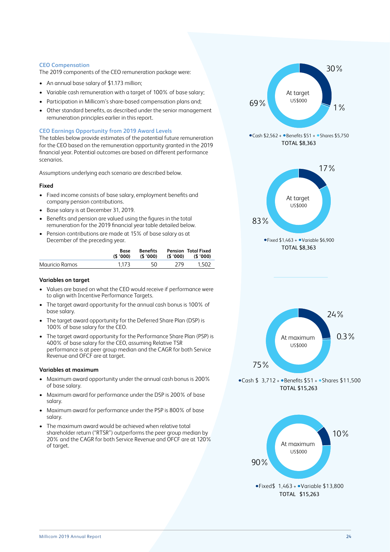# **CEO Compensation**

The 2019 components of the CEO remuneration package were:

- An annual base salary of \$1.173 million;
- Variable cash remuneration with a target of 100% of base salary;
- Participation in Millicom's share-based compensation plans and;
- Other standard benefits, as described under the senior management remuneration principles earlier in this report.

# **CEO Earnings Opportunity from 2019 Award Levels**

The tables below provide estimates of the potential future remuneration for the CEO based on the remuneration opportunity granted in the 2019 financial year. Potential outcomes are based on different performance scenarios.

Assumptions underlying each scenario are described below.

# **Fixed**

- Fixed income consists of base salary, employment benefits and company pension contributions.
- Base salary is at December 31, 2019.
- Benefits and pension are valued using the figures in the total remuneration for the 2019 financial year table detailed below.
- Pension contributions are made at 15% of base salary as at December of the preceding year.

|                | Base<br>(\$ '000) | <b>Benefits</b><br>(\$ '000) |     | <b>Pension Total Fixed</b><br>(\$'000) (\$'000) |
|----------------|-------------------|------------------------------|-----|-------------------------------------------------|
| Mauricio Ramos | 1.173             | 50                           | 279 | 1.502                                           |

# **Variables on target**

- Values are based on what the CEO would receive if performance were to align with Incentive Performance Targets.
- The target award opportunity for the annual cash bonus is 100% of base salary.
- The target award opportunity for the Deferred Share Plan (DSP) is 100% of base salary for the CEO.
- The target award opportunity for the Performance Share Plan (PSP) is 400% of base salary for the CEO, assuming Relative TSR performance is at peer group median and the CAGR for both Service Revenue and OFCF are at target.

#### **Variables at maximum**

- Maximum award opportunity under the annual cash bonus is 200% of base salary.
- Maximum award for performance under the DSP is 200% of base salary.
- Maximum award for performance under the PSP is 800% of base salary.
- The maximum award would be achieved when relative total shareholder return ("RTSR") outperforms the peer group median by 20% and the CAGR for both Service Revenue and OFCF are at 120% of target.



 $\bullet$ Fixed \$ 1,463 +  $\bullet$  Variable \$13,800 TOTAL \$15,263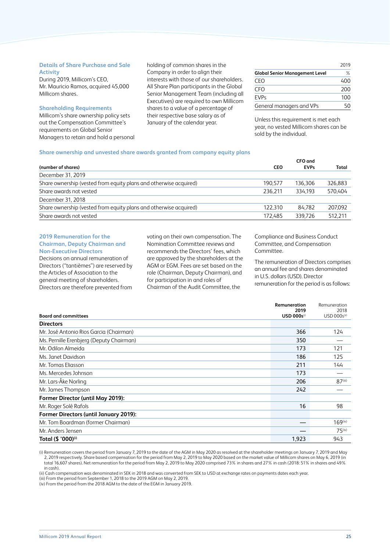# **Details of Share Purchase and Sale Activity**

During 2019, Millicom's CEO, Mr. Mauricio Ramos, acquired 45,000 Millicom shares.

#### **Shareholding Requirements**

Millicom's share ownership policy sets out the Compensation Committee's requirements on Global Senior Managers to retain and hold a personal holding of common shares in the Company in order to align their interests with those of our shareholders. All Share Plan participants in the Global Senior Management Team (including all Executives) are required to own Millicom shares to a value of a percentage of their respective base salary as of January of the calendar year.

|                                       | 2019 |
|---------------------------------------|------|
| <b>Global Senior Management Level</b> | ℅    |
| CEO                                   | 400  |
| CFO                                   | 200  |
| <b>EVPs</b>                           | 100  |
| General managers and VPs              | 50   |

Unless this requirement is met each year, no vested Millicom shares can be sold by the individual.

#### **Share ownership and unvested share awards granted from company equity plans**

|            | CFO and     |         |
|------------|-------------|---------|
| <b>CEO</b> | <b>EVPs</b> | Total   |
|            |             |         |
| 190.577    | 136.306     | 326,883 |
| 236.211    | 334.193     | 570.404 |
|            |             |         |
| 122.310    | 84.782      | 207.092 |
| 172.485    | 339.726     | 512.211 |
|            |             |         |

#### **2019 Remuneration for the Chairman, Deputy Chairman and Non-Executive Directors**

Decisions on annual remuneration of Directors ("tantièmes") are reserved by the Articles of Association to the general meeting of shareholders. Directors are therefore prevented from

voting on their own compensation. The Nomination Committee reviews and recommends the Directors' fees, which are approved by the shareholders at the AGM or EGM. Fees are set based on the role (Chairman, Deputy Chairman), and for participation in and roles of Chairman of the Audit Committee, the

### Compliance and Business Conduct Committee, and Compensation Committee.

The remuneration of Directors comprises an annual fee and shares denominated in U.S. dollars (USD). Director remuneration for the period is as follows:

|                                          | Remuneration<br>2019           | Remuneration<br>2018     |
|------------------------------------------|--------------------------------|--------------------------|
| <b>Board and committees</b>              | <b>USD 000s</b> <sup>(i)</sup> | USD 000s <sup>(ii)</sup> |
| <b>Directors</b>                         |                                |                          |
| Mr. José Antonio Rios Garcia (Chairman)  | 366                            | 124                      |
| Ms. Pernille Erenbjerg (Deputy Chairman) | 350                            |                          |
| Mr. Odilon Almeida                       | 173                            | 121                      |
| Ms. Janet Davidson                       | 186                            | 125                      |
| Mr. Tomas Eliasson                       | 211                            | 144                      |
| Ms. Mercedes Johnson                     | 173                            |                          |
| Mr. Lars-Åke Norling                     | 206                            | $87$ <sup>(iii)</sup>    |
| Mr. James Thompson                       | 242                            |                          |
| Former Director (until May 2019):        |                                |                          |
| Mr. Roger Solé Rafols                    | 16                             | 98                       |
| Former Directors (until January 2019):   |                                |                          |
| Mr. Tom Boardman (former Chairman)       |                                | $169$ <sup>(iv)</sup>    |
| Mr. Anders Jensen                        |                                | $75$ <sup>(iv)</sup>     |
| Total (\$ '000)(i)                       | 1,923                          | 943                      |

(i) Remuneration covers the period from January 7, 2019 to the date of the AGM in May 2020 as resolved at the shareholder meetings on January 7, 2019 and May 2, 2019 respectively. Share based compensation for the period from May 2, 2019 to May 2020 based on the market value of Millicom shares on May 6, 2019 (in total 16,607 shares). Net remuneration for the period from May 2, 2019 to May 2020 comprised 73% in shares and 27% in cash (2018: 51% in shares and 49% in cash).

(ii) Cash compensation was denominated in SEK in 2018 and was converted from SEK to USD at exchange rates on payments dates each year.

(iii) From the period from September 1, 2018 to the 2019 AGM on May 2, 2019.

(iv) From the period from the 2018 AGM to the date of the EGM in January 2019.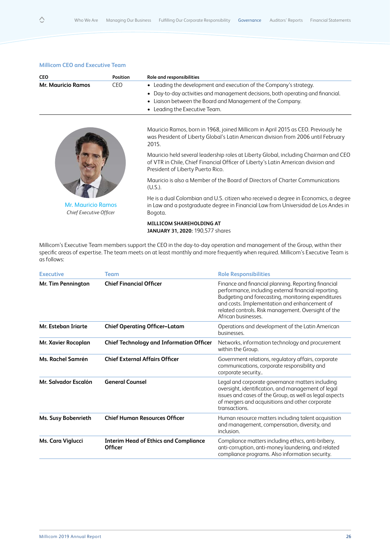| <b>CEO</b>                                           | <b>Position</b> | Role and responsibilities                                                                                                                                                                                                                          |
|------------------------------------------------------|-----------------|----------------------------------------------------------------------------------------------------------------------------------------------------------------------------------------------------------------------------------------------------|
| <b>Mr. Mauricio Ramos</b>                            | <b>CEO</b>      | • Leading the development and execution of the Company's strategy.<br>• Day-to-day activities and management decisions, both operating and financial.<br>• Liaison between the Board and Management of the Company.<br>Leading the Executive Team. |
|                                                      |                 | Mauricio Ramos, born in 1968, joined Millicom in April 2015 as CEO. Previously he<br>was President of Liberty Global's Latin American division from 2006 until February<br>2015.                                                                   |
| <b>Mr. Mauricio Ramos</b><br>Chief Executive Officer |                 | Mauricio held several leadership roles at Liberty Global, including Chairman and CEO<br>of VTR in Chile, Chief Financial Officer of Liberty's Latin American division and<br>President of Liberty Puerto Rico.                                     |
|                                                      |                 | Mauricio is also a Member of the Board of Directors of Charter Communications<br>(U.S.).                                                                                                                                                           |
|                                                      |                 | He is a dual Colombian and U.S. citizen who received a degree in Economics, a degree<br>in Law and a postgraduate degree in Financial Law from Universidad de Los Andes in<br>Bogota.                                                              |
|                                                      |                 | MILLICOM SHAREHOLDING AT<br><b>JANUARY 31, 2020: 190,577 shares</b>                                                                                                                                                                                |
|                                                      |                 | Millicom's Executive Team members support the CEO in the day-to-day operation and management of the Group, within their                                                                                                                            |

specific areas of expertise. The team meets on at least monthly and more frequently when required. Millicom's Executive Team is as follows:

| <b>Executive</b>     | <b>Team</b>                                             | <b>Role Responsibilities</b>                                                                                                                                                                                                                                                                    |
|----------------------|---------------------------------------------------------|-------------------------------------------------------------------------------------------------------------------------------------------------------------------------------------------------------------------------------------------------------------------------------------------------|
| Mr. Tim Pennington   | <b>Chief Financial Officer</b>                          | Finance and financial planning. Reporting financial<br>performance, including external financial reporting.<br>Budgeting and forecasting, monitoring expenditures<br>and costs. Implementation and enhancement of<br>related controls. Risk management. Oversight of the<br>African businesses. |
| Mr. Esteban Triarte  | <b>Chief Operating Officer-Latam</b>                    | Operations and development of the Latin American<br>businesses.                                                                                                                                                                                                                                 |
| Mr. Xavier Rocoplan  | <b>Chief Technology and Information Officer</b>         | Networks, information technology and procurement<br>within the Group.                                                                                                                                                                                                                           |
| Ms. Rachel Samrén    | <b>Chief External Affairs Officer</b>                   | Government relations, regulatory affairs, corporate<br>communications, corporate responsibility and<br>corporate security                                                                                                                                                                       |
| Mr. Salvador Escalón | <b>General Counsel</b>                                  | Legal and corporate governance matters including<br>oversight, identification, and management of legal<br>issues and cases of the Group, as well as legal aspects<br>of mergers and acquisitions and other corporate<br>transactions.                                                           |
| Ms. Susy Bobenrieth  | <b>Chief Human Resources Officer</b>                    | Human resource matters including talent acquisition<br>and management, compensation, diversity, and<br>inclusion.                                                                                                                                                                               |
| Ms. Cara Viglucci    | <b>Interim Head of Ethics and Compliance</b><br>Officer | Compliance matters including ethics, anti-bribery,<br>anti-corruption, anti-money laundering, and related<br>compliance programs. Also information security.                                                                                                                                    |
|                      |                                                         |                                                                                                                                                                                                                                                                                                 |

# **Millicom CEO and Executive Team**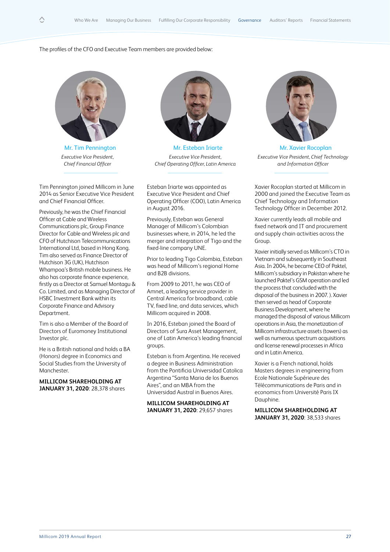#### The profiles of the CFO and Executive Team members are provided below:



Mr. Tim Pennington *Executive Vice President, Chief Financial Officer*

Tim Pennington joined Millicom in June 2014 as Senior Executive Vice President and Chief Financial Officer.

Previously, he was the Chief Financial Officer at Cable and Wireless Communications plc, Group Finance Director for Cable and Wireless plc and CFO of Hutchison Telecommunications International Ltd, based in Hong Kong. Tim also served as Finance Director of Hutchison 3G (UK), Hutchison Whampoa's British mobile business. He also has corporate finance experience, firstly as a Director at Samuel Montagu & Co. Limited, and as Managing Director of HSBC Investment Bank within its Corporate Finance and Advisory Department.

Tim is also a Member of the Board of Directors of Euromoney Institutional Investor plc.

He is a British national and holds a BA (Honors) degree in Economics and Social Studies from the University of Manchester.

**MILLICOM SHAREHOLDING AT JANUARY 31, 2020**: 28,378 shares



Mr. Esteban Iriarte *Executive Vice President, Chief Operating Officer, Latin America*

Esteban Iriarte was appointed as Executive Vice President and Chief Operating Officer (COO), Latin America in August 2016.

Previously, Esteban was General Manager of Millicom's Colombian businesses where, in 2014, he led the merger and integration of Tigo and the fixed-line company UNE.

Prior to leading Tigo Colombia, Esteban was head of Millicom's regional Home and B2B divisions.

From 2009 to 2011, he was CEO of Amnet, a leading service provider in Central America for broadband, cable TV, fixed line, and data services, which Millicom acquired in 2008.

In 2016, Esteban joined the Board of Directors of Sura Asset Management, one of Latin America's leading financial groups.

Esteban is from Argentina. He received a degree in Business Administration from the Pontificia Universidad Catolica Argentina "Santa Maria de los Buenos Aires", and an MBA from the Universidad Austral in Buenos Aires.

**MILLICOM SHAREHOLDING AT JANUARY 31, 2020**: 29,657 shares



Mr. Xavier Rocoplan *Executive Vice President, Chief Technology and Information Officer*

Xavier Rocoplan started at Millicom in 2000 and joined the Executive Team as Chief Technology and Information Technology Officer in December 2012.

Xavier currently leads all mobile and fixed network and IT and procurement and supply chain activities across the Group.

Xavier initially served as Millicom's CTO in Vietnam and subsequently in Southeast Asia. In 2004, he became CEO of Paktel, Millicom's subsidiary in Pakistan where he launched Paktel's GSM operation and led the process that concluded with the disposal of the business in 2007. ). Xavier then served as head of Corporate Business Development, where he managed the disposal of various Millicom operations in Asia, the monetization of Millicom infrastructure assets (towers) as well as numerous spectrum acquisitions and license renewal processes in Africa and in Latin America.

Xavier is a French national, holds Masters degrees in engineering from Ecole Nationale Supérieure des Télécommunications de Paris and in economics from Université Paris IX Dauphine.

**MILLICOM SHAREHOLDING AT JANUARY 31, 2020**: 38,533 shares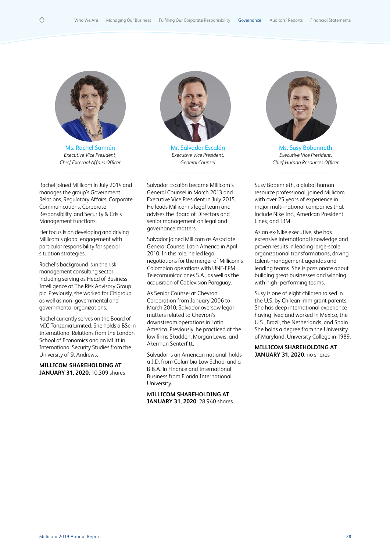

Ms. Rachel Samrén *Executive Vice President, Chief External Affairs Officer*

Rachel joined Millicom in July 2014 and manages the group's Government Relations, Regulatory Affairs, Corporate Communications, Corporate Responsibility, and Security & Crisis Management functions.

Her focus is on developing and driving Millicom's global engagement with particular responsibility for special situation strategies.

Rachel's background is in the risk management consulting sector including serving as Head of Business Intelligence at The Risk Advisory Group plc. Previously, she worked for Citigroup as well as non- governmental and governmental organizations.

Rachel currently serves on the Board of MIC Tanzania Limited. She holds a BSc in International Relations from the London School of Economics and an MLitt in International Security Studies from the University of St Andrews.

**MILLICOM SHAREHOLDING AT JANUARY 31, 2020**: 10,309 shares



Mr. Salvador Escalón *Executive Vice President, General Counsel*

Salvador Escalón became Millicom's General Counsel in March 2013 and Executive Vice President in July 2015. He leads Millicom's legal team and advises the Board of Directors and senior management on legal and governance matters.

Salvador joined Millicom as Associate General Counsel Latin America in April 2010. In this role, he led legal negotiations for the merger of Millicom's Colombian operations with UNE-EPM Telecomunicaciones S.A., as well as the acquisition of Cablevision Paraguay.

As Senior Counsel at Chevron Corporation from January 2006 to March 2010, Salvador oversaw legal matters related to Chevron's downstream operations in Latin America. Previously, he practiced at the law firms Skadden, Morgan Lewis, and Akerman Senterfitt.

Salvador is an American national, holds a J.D. from Columbia Law School and a B.B.A. in Finance and International Business from Florida International University.

**MILLICOM SHAREHOLDING AT JANUARY 31, 2020**: 28,940 shares



Ms. Susy Bobenrieth *Executive Vice President, Chief Human Resources Officer*

Susy Bobenrieth, a global human resource professional, joined Millicom with over 25 years of experience in major multi-national companies that include Nike Inc., American President Lines, and IBM.

As an ex-Nike executive, she has extensive international knowledge and proven results in leading large-scale organizational transformations, driving talent-management agendas and leading teams. She is passionate about building great businesses and winning with high- performing teams.

Susy is one of eight children raised in the U.S. by Chilean immigrant parents. She has deep international experience having lived and worked in Mexico, the U.S., Brazil, the Netherlands, and Spain. She holds a degree from the University of Maryland, University College in 1989.

**MILLICOM SHAREHOLDING AT JANUARY 31, 2020**: no shares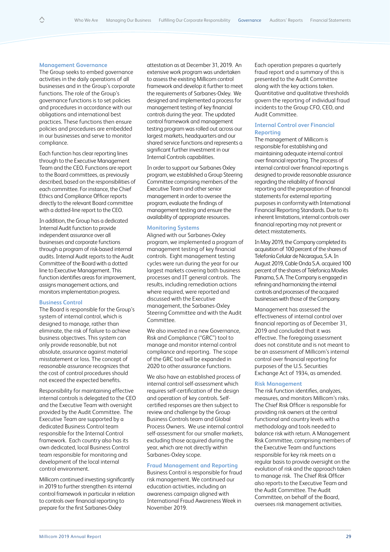#### **Management Governance**

The Group seeks to embed governance activities in the daily operations of all businesses and in the Group's corporate functions. The role of the Group's governance functions is to set policies and procedures in accordance with our obligations and international best practices. These functions then ensure policies and procedures are embedded in our businesses and serve to monitor compliance.

Each function has clear reporting lines through to the Executive Management Team and the CEO. Functions are report to the Board committees, as previously described, based on the responsibilities of each committee. For instance, the Chief Ethics and Compliance Officer reports directly to the relevant Board committee with a dotted-line report to the CEO.

In addition, the Group has a dedicated Internal Audit function to provide independent assurance over all businesses and corporate functions through a program of risk-based internal audits. Internal Audit reports to the Audit Committee of the Board with a dotted line to Executive Management. This function identifies areas for improvement, assigns management actions, and monitors implementation progress.

#### **Business Control**

The Board is responsible for the Group's system of internal control, which is designed to manage, rather than eliminate, the risk of failure to achieve business objectives. This system can only provide reasonable, but not absolute, assurance against material misstatement or loss. The concept of reasonable assurance recognizes that the cost of control procedures should not exceed the expected benefits.

Responsibility for maintaining effective internal controls is delegated to the CEO and the Executive Team with oversight provided by the Audit Committee. The Executive Team are supported by a dedicated Business Control team responsible for the Internal Control framework. Each country also has its own dedicated, local Business Control team responsible for monitoring and development of the local internal control environment.

Millicom continued investing significantly in 2019 to further strengthen its internal control framework in particular in relation to controls over financial reporting to prepare for the first Sarbanes-Oxley

attestation as at December 31, 2019. An extensive work program was undertaken to assess the existing Millicom control framework and develop it further to meet the requirements of Sarbanes-Oxley. We designed and implemented a process for management testing of key financial controls during the year. The updated control framework and management testing program was rolled out across our largest markets, headquarters and our shared service functions and represents a significant further investment in our Internal Controls capabilities.

In order to support our Sarbanes Oxley program, we established a Group Steering Committee comprising members of the Executive Team and other senior management in order to oversee the program, evaluate the findings of management testing and ensure the availability of appropriate resources.

# **Monitoring Systems**

Aligned with our Sarbanes-Oxley program, we implemented a program of management testing of key financial controls. Eight management testing cycles were run during the year for our largest markets covering both business processes and IT general controls. The results, including remediation actions where required, were reported and discussed with the Executive management, the Sarbanes-Oxley Steering Committee and with the Audit Committee.

We also invested in a new Governance, Risk and Compliance ("GRC") tool to manage and monitor internal control compliance and reporting. The scope of the GRC tool will be expanded in 2020 to other assurance functions.

We also have an established process of internal control self-assessment which requires self-certification of the design and operation of key controls. Selfcertified responses are then subject to review and challenge by the Group Business Controls team and Global Process Owners. We use internal control self-assessment for our smaller markets, excluding those acquired during the year, which are not directly within Sarbanes-Oxley scope.

#### **Fraud Management and Reporting**

Business Control is responsible for fraud risk management. We continued our education activities, including an awareness campaign aligned with International Fraud Awareness Week in November 2019.

Each operation prepares a quarterly fraud report and a summary of this is presented to the Audit Committee along with the key actions taken. Quantitative and qualitative thresholds govern the reporting of individual fraud incidents to the Group CFO, CEO, and Audit Committee.

# **Internal Control over Financial Reporting**

The management of Millicom is responsible for establishing and maintaining adequate internal control over financial reporting. The process of internal control over financial reporting is designed to provide reasonable assurance regarding the reliability of financial reporting and the preparation of financial statements for external reporting purposes in conformity with International Financial Reporting Standards. Due to its inherent limitations, internal controls over financial reporting may not prevent or detect misstatements.

In May 2019, the Company completed its acquisition of 100 percent of the shares of Telefonía Celular de Nicaragua, S.A. In August 2019, Cable Onda S.A. acquired 100 percent of the shares of Telefonica Moviles Panama, S.A. The Company is engaged in refining and harmonizing the internal controls and processes of the acquired businesses with those of the Company.

Management has assessed the effectiveness of internal control over financial reporting as of December 31, 2019 and concluded that it was effective. The foregoing assessment does not constitute and is not meant to be an assessment of Millicom's internal control over financial reporting for purposes of the U.S. Securities Exchange Act of 1934, as amended.

#### **Risk Management**

The risk function identifies, analyzes, measures, and monitors Millicom's risks. The Chief Risk Officer is responsible for providing risk owners at the central functional and country levels with a methodology and tools needed to balance risk with return. A Management Risk Committee, comprising members of the Executive Team and functions responsible for key risk meets on a regular basis to provide oversight on the evolution of risk and the approach taken to manage risk. The Chief Risk Officer also reports to the Executive Team and the Audit Committee. The Audit Committee, on behalf of the Board, oversees risk management activities.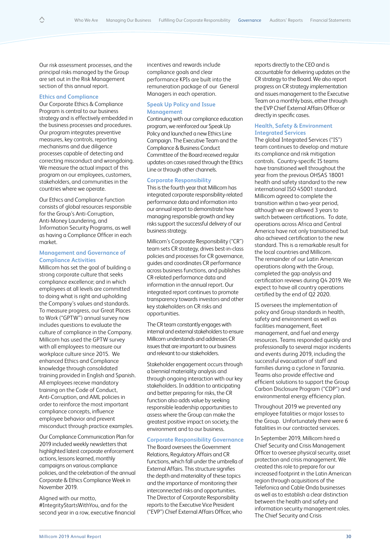Our risk assessment processes, and the principal risks managed by the Group are set out in the Risk Management section of this annual report.

#### **Ethics and Compliance**

Our Corporate Ethics & Compliance Program is central to our business strategy and is effectively embedded in the business processes and procedures. Our program integrates preventive measures, key controls, reporting mechanisms and due diligence processes capable of detecting and correcting misconduct and wrongdoing. We measure the actual impact of this program on our employees, customers, stakeholders, and communities in the countries where we operate.

Our Ethics and Compliance function consists of global resources responsible for the Group's Anti-Corruption, Anti-Money Laundering, and Information Security Programs, as well as having a Compliance Officer in each market.

### **Management and Governance of Compliance Activities**

Millicom has set the goal of building a strong corporate culture that seeks compliance excellence; and in which employees at all levels are committed to doing what is right and upholding the Company's values and standards. To measure progress, our Great Places to Work ("GPTW") annual survey now includes questions to evaluate the culture of compliance in the Company. Millicom has used the GPTW survey with all employees to measure our workplace culture since 2015. We enhanced Ethics and Compliance knowledge through consolidated training provided in English and Spanish. All employees receive mandatory training on the Code of Conduct, Anti-Corruption, and AML policies in order to reinforce the most important compliance concepts, influence employee behavior and prevent misconduct through practice examples.

Our Compliance Communication Plan for 2019 included weekly newsletters that highlighted latest corporate enforcement actions, lessons learned, monthly campaigns on various compliance policies, and the celebration of the annual Corporate & Ethics Compliance Week in November 2019.

Aligned with our motto, #IntegrityStartsWithYou, and for the second year in a row, executive financial incentives and rewards include compliance goals and clear performance KPIs are built into the remuneration package of our General Managers in each operation.

# **Speak Up Policy and Issue Management**

Continuing with our compliance education program, we reinforced our Speak Up Policy and launched a new Ethics Line Campaign. The Executive Team and the Compliance & Business Conduct Committee of the Board received regular updates on cases raised through the Ethics Line or through other channels.

#### **Corporate Responsibility**

This is the fourth year that Millicom has integrated corporate responsibility-related performance data and information into our annual report to demonstrate how managing responsible growth and key risks support the successful delivery of our business strategy.

Millicom's Corporate Responsibility ("CR") team sets CR strategy, drives best-in-class policies and processes for CR governance, guides and coordinates CR performance across business functions, and publishes CR-related performance data and information in the annual report. Our integrated report continues to promote transparency towards investors and other key stakeholders on CR risks and opportunities.

The CR team constantly engages with internal and external stakeholders to ensure Millicom understands and addresses CR issues that are important to our business and relevant to our stakeholders.

Stakeholder engagement occurs through a biennial materiality analysis and through ongoing interaction with our key stakeholders. In addition to anticipating and better preparing for risks, the CR function also adds value by seeking responsible leadership opportunities to assess where the Group can make the greatest positive impact on society, the environment and to our business.

#### **Corporate Responsibility Governance**

The Board oversees the Government Relations, Regulatory Affairs and CR functions, which fall under the umbrella of External Affairs. This structure signifies the depth and materiality of these topics and the importance of monitoring their interconnected risks and opportunities. The Director of Corporate Responsibility reports to the Executive Vice President ("EVP") Chief External Affairs Officer, who

reports directly to the CEO and is accountable for delivering updates on the CR strategy to the Board. We also report progress on CR strategy implementation and issues management to the Executive Team on a monthly basis, either through the EVP Chief External Affairs Officer or directly in specific cases.

# **Health, Safety & Environment Integrated Services**

The global Integrated Services ("IS") team continues to develop and mature its compliance and risk mitigation controls. Country-specific IS teams have transitioned well throughout the year from the previous OHSAS 18001 health and safety standard to the new international ISO 45001 standard. Millicom agreed to complete the transition within a two-year period, although we are allowed 3 years to switch between certifications. To date, operations across Africa and Central America have not only transitioned but also achieved certification to the new standard. This is a remarkable result for the local countries and Millicom. The remainder of our Latin American operations along with the Group, completed the gap analysis and certification reviews during Q4 2019. We expect to have all country operations certified by the end of Q2 2020.

IS oversees the implementation of policy and Group standards in health, safety and environment as well as facilities management, fleet management, and fuel and energy resources. Teams responded quickly and professionally to several major incidents and events during 2019, including the successful evacuation of staff and families during a cyclone in Tanzania. Teams also provide effective and efficient solutions to support the Group Carbon Disclosure Program ("CDP") and environmental energy efficiency plan.

Throughout 2019 we prevented any employee fatalities or major losses to the Group. Unfortunately there were 6 fatalities in our contracted services.

In September 2019, Millicom hired a Chief Security and Crisis Management Officer to oversee physical security, asset protection and crisis management. We created this role to prepare for our increased footprint in the Latin American region through acquisitions of the Telefonica and Cable Onda businesses as well as to establish a clear distinction between the health and safety and information security management roles. The Chief Security and Crisis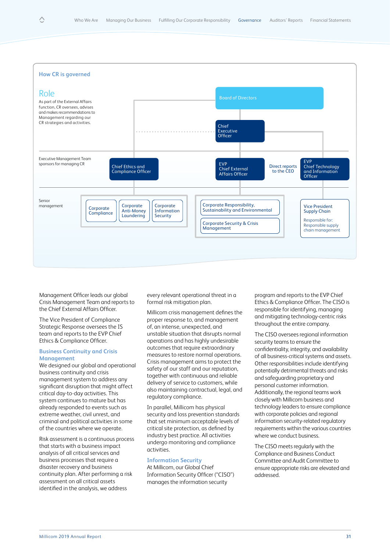

Management Officer leads our global Crisis Management Team and reports to the Chief External Affairs Officer.

The Vice President of Compliance Strategic Response oversees the IS team and reports to the EVP Chief Ethics & Compliance Officer.

# **Business Continuity and Crisis Management**

We designed our global and operational business continuity and crisis management system to address any significant disruption that might affect critical day-to-day activities. This system continues to mature but has already responded to events such as extreme weather, civil unrest, and criminal and political activities in some of the countries where we operate.

Risk assessment is a continuous process that starts with a business impact analysis of all critical services and business processes that require a disaster recovery and business continuity plan. After performing a risk assessment on all critical assets identified in the analysis, we address

every relevant operational threat in a formal risk mitigation plan.

Millicom crisis management defines the proper response to, and management of, an intense, unexpected, and unstable situation that disrupts normal operations and has highly undesirable outcomes that require extraordinary measures to restore normal operations. Crisis management aims to protect the safety of our staff and our reputation, together with continuous and reliable delivery of service to customers, while also maintaining contractual, legal, and regulatory compliance.

In parallel, Millicom has physical security and loss prevention standards that set minimum acceptable levels of critical site protection, as defined by industry best practice. All activities undergo monitoring and compliance activities.

# **Information Security**

At Millicom, our Global Chief Information Security Officer ("CISO") manages the information security

program and reports to the EVP Chief Ethics & Compliance Officer. The CISO is responsible for identifying, managing and mitigating technology-centric risks throughout the entire company.

The CISO oversees regional information security teams to ensure the confidentiality, integrity, and availability of all business-critical systems and assets. Other responsibilities include identifying potentially detrimental threats and risks and safeguarding proprietary and personal customer information. Additionally, the regional teams work closely with Millicom business and technology leaders to ensure compliance with corporate policies and regional information security-related regulatory requirements within the various countries where we conduct business.

The CISO meets regularly with the Compliance and Business Conduct Committee and Audit Committee to ensure appropriate risks are elevated and addressed.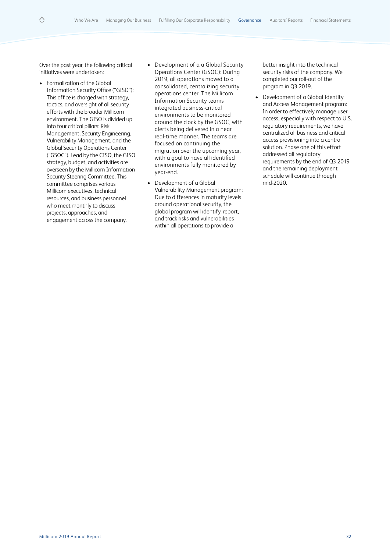Over the past year, the following critical initiatives were undertaken:

△

- Formalization of the Global Information Security Office ("GISO"): This office is charged with strategy, tactics, and oversight of all security efforts with the broader Millicom environment. The GISO is divided up into four critical pillars: Risk Management, Security Engineering, Vulnerability Management, and the Global Security Operations Center ("GSOC"). Lead by the CISO, the GISO strategy, budget, and activities are overseen by the Millicom Information Security Steering Committee. This committee comprises various Millicom executives, technical resources, and business personnel who meet monthly to discuss projects, approaches, and engagement across the company.
- Development of a a Global Security Operations Center (GSOC): During 2019, all operations moved to a consolidated, centralizing security operations center. The Millicom Information Security teams integrated business-critical environments to be monitored around the clock by the GSOC, with alerts being delivered in a near real-time manner. The teams are focused on continuing the migration over the upcoming year, with a goal to have all identified environments fully monitored by year-end.
- Development of a Global Vulnerability Management program: Due to differences in maturity levels around operational security, the global program will identify, report, and track risks and vulnerabilities within all operations to provide a

better insight into the technical security risks of the company. We completed our roll-out of the program in Q3 2019.

• Development of a Global Identity and Access Management program: In order to effectively manage user access, especially with respect to U.S. regulatory requirements, we have centralized all business and critical access provisioning into a central solution. Phase one of this effort addressed all regulatory requirements by the end of Q3 2019 and the remaining deployment schedule will continue through mid-2020.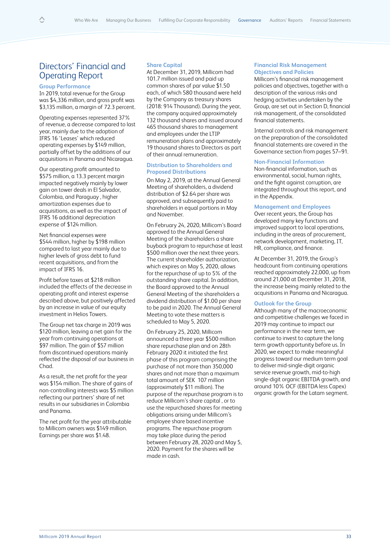# Directors' Financial and Operating Report

# **Group Performance**

In 2019, total revenue for the Group was \$4,336 million, and gross profit was \$3,135 million, a margin of 72.3 percent.

Operating expenses represented 37% of revenue, a decrease compared to last year, mainly due to the adoption of IFRS 16 'Leases' which reduced operating expenses by \$149 million, partially offset by the additions of our acquisitions in Panama and Nicaragua.

Our operating profit amounted to \$575 million, a 13.3 percent margin impacted negatively mainly by lower gain on tower deals in El Salvador, Colombia, and Paraguay , higher amortization expenses due to acquisitions, as well as the impact of IFRS 16 additional depreciation expense of \$124 million.

Net financial expenses were \$544 million, higher by \$198 million compared to last year mainly due to higher levels of gross debt to fund recent acquisitions, and from the impact of IFRS 16.

Profit before taxes at \$218 million included the effects of the decrease in operating profit and interest expense described above, but positively affected by an increase in value of our equity investment in Helios Towers.

The Group net tax charge in 2019 was \$120 million, leaving a net gain for the year from continuing operations at \$97 million. The gain of \$57 million from discontinued operations mainly reflected the disposal of our business in Chad.

As a result, the net profit for the year was \$154 million. The share of gains of non-controlling interests was \$5 million reflecting our partners' share of net results in our subsidiaries in Colombia and Panama.

The net profit for the year attributable to Millicom owners was \$149 million. Earnings per share was \$1.48.

# **Share Capital**

At December 31, 2019, Millicom had 101.7 million issued and paid up common shares of par value \$1.50 each, of which 580 thousand were held by the Company as treasury shares (2018: 914 Thousand). During the year, the company acquired approximately 132 thousand shares and issued around 465 thousand shares to management and employees under the LTIP remuneration plans and approximately 19 thousand shares to Directors as part of their annual remuneration.

# **Distribution to Shareholders and Proposed Distributions**

On May 2, 2019, at the Annual General Meeting of shareholders, a dividend distribution of \$2.64 per share was approved, and subsequently paid to shareholders in equal portions in May and November.

On February 24, 2020, Millicom's Board approved to the Annual General Meeting of the shareholders a share buyback program to repurchase at least \$500 million over the next three years. The current shareholder authorization, which expires on May 5, 2020, allows for the repurchase of up to 5% of the outstanding share capital. In addition, the Board approved to the Annual General Meeting of the shareholders a dividend distribution of \$1.00 per share to be paid in 2020. The Annual General Meeting to vote these matters is scheduled to May 5, 2020.

On February 25, 2020, Millicom announced a three year \$500 million share repurchase plan and on 28th February 2020 it initiated the first phase of this program comprising the purchase of not more than 350,000 shares and not more than a maximum total amount of SEK 107 million (approximately \$11 million). The purpose of the repurchase program is to reduce Millicom's share capital , or to use the repurchased shares for meeting obligations arising under Millicom´s employee share based incentive programs. The repurchase program may take place during the period between February 28, 2020 and May 5, 2020. Payment for the shares will be made in cash.

### **Financial Risk Management Objectives and Policies**

Millicom's financial risk management policies and objectives, together with a description of the various risks and hedging activities undertaken by the Group, are set out in Section D, financial risk management, of the consolidated financial statements.

Internal controls and risk management on the preparation of the consolidated financial statements are covered in the Governance section from pages 57–91.

# **Non-Financial Information**

Non-financial information, such as environmental, social, human rights, and the fight against corruption, are integrated throughout this report, and in the Appendix.

# **Management and Employees**

Over recent years, the Group has developed many key functions and improved support to local operations, including in the areas of procurement, network development, marketing, IT, HR, compliance, and finance.

At December 31, 2019, the Group's headcount from continuing operations reached approximately 22,000, up from around 21,000 at December 31, 2018, the increase being mainly related to the acquisitions in Panama and Nicaragua.

# **Outlook for the Group**

Although many of the macroeconomic and competitive challenges we faced in 2019 may continue to impact our performance in the near term, we continue to invest to capture the long term growth opportunity before us. In 2020, we expect to make meaningful progress toward our medium term goal to deliver mid-single-digit organic service revenue growth, mid-to-high single-digit organic EBITDA growth, and around 10% OCF (EBITDA less Capex) organic growth for the Latam segment.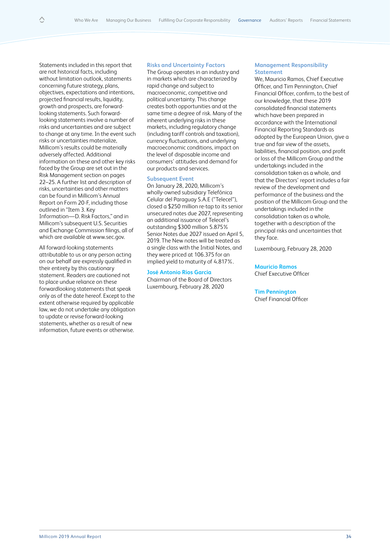Statements included in this report that are not historical facts, including without limitation outlook, statements concerning future strategy, plans, objectives, expectations and intentions, projected financial results, liquidity, growth and prospects, are forwardlooking statements. Such forwardlooking statements involve a number of risks and uncertainties and are subject to change at any time. In the event such risks or uncertainties materialize, Millicom's results could be materially adversely affected. Additional information on these and other key risks faced by the Group are set out in the Risk Management section on pages 22–25. A further list and description of risks, uncertainties and other matters can be found in Millicom's Annual Report on Form 20-F, including those outlined in "Item 3. Key Information—D. Risk Factors," and in Millicom's subsequent U.S. Securities and Exchange Commission filings, all of which are available at www.sec.gov.

All forward-looking statements attributable to us or any person acting on our behalf are expressly qualified in their entirety by this cautionary statement. Readers are cautioned not to place undue reliance on these forwardlooking statements that speak only as of the date hereof. Except to the extent otherwise required by applicable law, we do not undertake any obligation to update or revise forward-looking statements, whether as a result of new information, future events or otherwise.

#### **Risks and Uncertainty Factors**

The Group operates in an industry and in markets which are characterized by rapid change and subject to macroeconomic, competitive and political uncertainty. This change creates both opportunities and at the same time a degree of risk. Many of the inherent underlying risks in these markets, including regulatory change (including tariff controls and taxation), currency fluctuations, and underlying macroeconomic conditions, impact on the level of disposable income and consumers' attitudes and demand for our products and services.

### **Subsequent Event**

On January 28, 2020, Millicom's wholly-owned subsidiary Telefónica Celular del Paraguay S.A.E ("Telecel"), closed a \$250 million re-tap to its senior unsecured notes due 2027, representing an additional issuance of Telecel's outstanding \$300 million 5.875% Senior Notes due 2027 issued on April 5, 2019. The New notes will be treated as a single class with the Initial Notes, and they were priced at 106.375 for an implied yield to maturity of 4.817%.

# **José Antonio Ríos García**

Chairman of the Board of Directors Luxembourg, February 28, 2020

#### **Management Responsibility Statement**

We, Mauricio Ramos, Chief Executive Officer, and Tim Pennington, Chief Financial Officer, confirm, to the best of our knowledge, that these 2019 consolidated financial statements which have been prepared in accordance with the International Financial Reporting Standards as adopted by the European Union, give a true and fair view of the assets, liabilities, financial position, and profit or loss of the Millicom Group and the undertakings included in the consolidation taken as a whole, and that the Directors' report includes a fair review of the development and performance of the business and the position of the Millicom Group and the undertakings included in the consolidation taken as a whole, together with a description of the principal risks and uncertainties that they face.

Luxembourg, February 28, 2020

#### **Mauricio Ramos**

Chief Executive Officer

#### **Tim Pennington**

Chief Financial Officer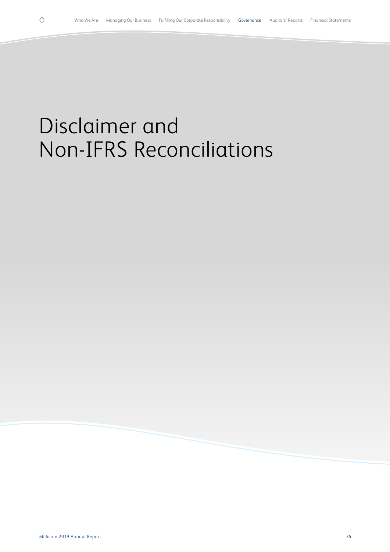# Disclaimer and Non-IFRS Reconciliations

 $\Diamond$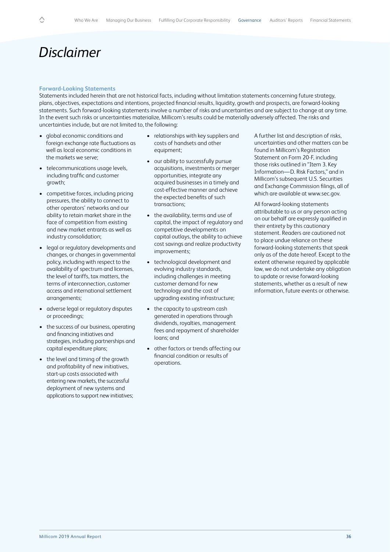# *Disclaimer*

#### **Forward-Looking Statements**

Statements included herein that are not historical facts, including without limitation statements concerning future strategy, plans, objectives, expectations and intentions, projected financial results, liquidity, growth and prospects, are forward-looking statements. Such forward-looking statements involve a number of risks and uncertainties and are subject to change at any time. In the event such risks or uncertainties materialize, Millicom's results could be materially adversely affected. The risks and uncertainties include, but are not limited to, the following:

- global economic conditions and foreign exchange rate fluctuations as well as local economic conditions in the markets we serve;
- telecommunications usage levels, including traffic and customer growth;
- competitive forces, including pricing pressures, the ability to connect to other operators' networks and our ability to retain market share in the face of competition from existing and new market entrants as well as industry consolidation;
- legal or regulatory developments and changes, or changes in governmental policy, including with respect to the availability of spectrum and licenses, the level of tariffs, tax matters, the terms of interconnection, customer access and international settlement arrangements;
- adverse legal or regulatory disputes or proceedings;
- the success of our business, operating and financing initiatives and strategies, including partnerships and capital expenditure plans;
- the level and timing of the growth and profitability of new initiatives, start-up costs associated with entering new markets, the successful deployment of new systems and applications to support new initiatives;
- relationships with key suppliers and costs of handsets and other equipment;
- our ability to successfully pursue acquisitions, investments or merger opportunities, integrate any acquired businesses in a timely and cost-effective manner and achieve the expected benefits of such transactions;
- the availability, terms and use of capital, the impact of regulatory and competitive developments on capital outlays, the ability to achieve cost savings and realize productivity improvements;
- technological development and evolving industry standards, including challenges in meeting customer demand for new technology and the cost of upgrading existing infrastructure;
- the capacity to upstream cash generated in operations through dividends, royalties, management fees and repayment of shareholder loans; and
- other factors or trends affecting our financial condition or results of operations.

A further list and description of risks, uncertainties and other matters can be found in Millicom's Registration Statement on Form 20-F, including those risks outlined in "Item 3. Key Information—D. Risk Factors," and in Millicom's subsequent U.S. Securities and Exchange Commission filings, all of which are available at www.sec.gov.

All forward-looking statements attributable to us or any person acting on our behalf are expressly qualified in their entirety by this cautionary statement. Readers are cautioned not to place undue reliance on these forward-looking statements that speak only as of the date hereof. Except to the extent otherwise required by applicable law, we do not undertake any obligation to update or revise forward-looking statements, whether as a result of new information, future events or otherwise.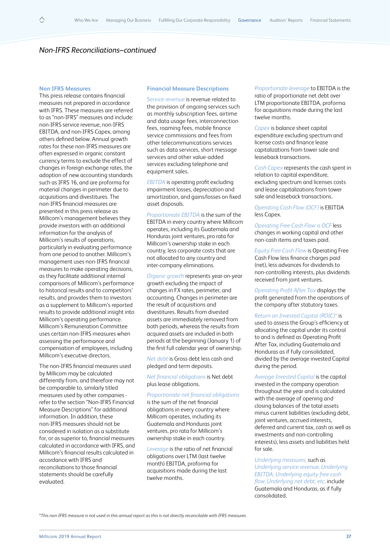### **Non IFRS Measures**

This press release contains financial measures not prepared in accordance with IFRS. These measures are referred to as "non-IFRS" measures and include: non-IFRS service revenue, non-IFRS EBITDA, and non-IFRS Capex, among others defined below. Annual growth rates for these non-IFRS measures are often expressed in organic constant currency terms to exclude the effect of changes in foreign exchange rates, the adoption of new accounting standards such as IFRS 16, and are proforma for material changes in perimeter due to acquisitions and divestitures. The non-IFRS financial measures are presented in this press release as Millicom's management believes they provide investors with an additional information for the analysis of Millicom's results of operations, particularly in evaluating performance from one period to another. Millicom's management uses non-IFRS financial measures to make operating decisions, as they facilitate additional internal comparisons of Millicom's performance to historical results and to competitors' results, and provides them to investors as a supplement to Millicom's reported results to provide additional insight into Millicom's operating performance. Millicom's Remuneration Committee uses certain non-IFRS measures when assessing the performance and compensation of employees, including Millicom's executive directors.

The non-IFRS financial measures used by Millicom may be calculated differently from, and therefore may not be comparable to, similarly titled measures used by other companies refer to the section "Non-IFRS Financial Measure Descriptions" for additional information. In addition, these non-IFRS measures should not be considered in isolation as a substitute for, or as superior to, financial measures calculated in accordance with IFRS, and Millicom's financial results calculated in accordance with IFRS and reconciliations to those financial statements should be carefully evaluated.

#### **Financial Measure Descriptions**

*Service revenue* is revenue related to the provision of ongoing services such as monthly subscription fees, airtime and data usage fees, interconnection fees, roaming fees, mobile finance service commissions and fees from other telecommunications services such as data services, short message services and other value-added services excluding telephone and equipment sales.

*EBITDA* is operating profit excluding impairment losses, depreciation and amortization, and gains/losses on fixed asset disposals.

*Proportionate EBITDA* is the sum of the EBITDA in every country where Millicom operates, including its Guatemala and Honduras joint ventures, pro rata for Millicom's ownership stake in each country, less corporate costs that are not allocated to any country and inter-company eliminations.

*Organic growth* represents year-on-year growth excluding the impact of changes in FX rates, perimeter, and accounting. Changes in perimeter are the result of acquisitions and divestitures. Results from divested assets are immediately removed from both periods, whereas the results from acquired assets are included in both periods at the beginning (January 1) of the first full calendar year of ownership.

*Net debt* is Gross debt less cash and pledged and term deposits.

*Net financial obligations* is Net debt plus lease obligations.

#### *Proportionate net financial obligations*

is the sum of the net financial obligations in every country where Millicom operates, including its Guatemala and Honduras joint ventures, pro rata for Millicom's ownership stake in each country.

*Leverage* is the ratio of net financial obligations over LTM (last twelve month) EBITDA, proforma for acquisitions made during the last twelve months.

*Proportionate leverage* to EBITDA is the ratio of proportionate net debt over LTM proportionate EBITDA, proforma for acquisitions made during the last twelve months.

*Capex* is balance sheet capital expenditure excluding spectrum and license costs and finance lease capitalizations from tower sale and leaseback transactions.

*Cash Capex* represents the cash spent in relation to capital expenditure, excluding spectrum and licenses costs and lease capitalizations from tower sale and leaseback transactions.

*Operating Cash Flow (OCF)* is EBITDA less Capex.

*Operating Free Cash Flow is OCF* less changes in working capital and other non-cash items and taxes paid.

*Equity Free Cash Flow* is Operating Free Cash Flow less finance charges paid (net), less advances for dividends to non-controlling interests, plus dividends received from joint ventures.

*Operating Profit After Tax* displays the profit generated from the operations of the company after statutory taxes.

### *Return on Invested Capital (ROIC)\** is

used to assess the Group's efficiency at allocating the capital under its control to and is defined as Operating Profit After Tax, including Guatemala and Honduras as if fully consolidated, divided by the average invested Capital during the period.

*Average Invested Capital* is the capital invested in the company operation throughout the year and is calculated with the average of opening and closing balances of the total assets minus current liabilities (excluding debt, joint ventures, accrued interests, deferred and current tax, cash as well as investments and non-controlling interests), less assets and liabilities held for sale.

*Underlying measures,* such as *Underlying service revenue, Underlying EBITDA, Underlying equity free cash flow, Underlying net debt, etc,* include Guatemala and Honduras, as if fully consolidated.

\**This non-IFRS measure is not used in this annual report as this is not directly reconcilable with IFRS measures.*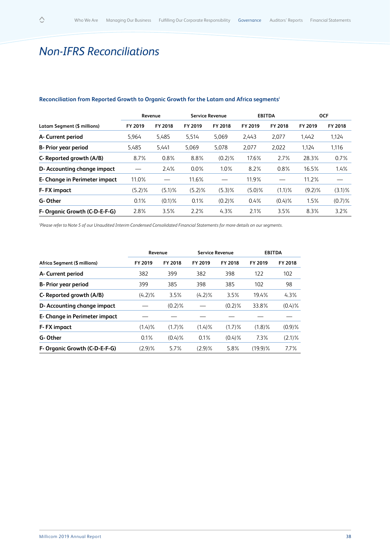# *Non-IFRS Reconciliations*

|                               | Revenue   |           | <b>Service Revenue</b> |           | <b>EBITDA</b> |           | <b>OCF</b> |           |
|-------------------------------|-----------|-----------|------------------------|-----------|---------------|-----------|------------|-----------|
| Latam Segment (\$ millions)   | FY 2019   | FY 2018   | FY 2019                | FY 2018   | FY 2019       | FY 2018   | FY 2019    | FY 2018   |
| A- Current period             | 5,964     | 5,485     | 5,514                  | 5,069     | 2,443         | 2,077     | 1,442      | 1,124     |
| B- Prior year period          | 5,485     | 5.441     | 5.069                  | 5.078     | 2,077         | 2.022     | 1.124      | 1.116     |
| C- Reported growth (A/B)      | 8.7%      | 0.8%      | 8.8%                   | $(0.2)\%$ | 17.6%         | 2.7%      | 28.3%      | 0.7%      |
| D- Accounting change impact   |           | 2.4%      | $0.0\%$                | $1.0\%$   | 8.2%          | 0.8%      | 16.5%      | 1.4%      |
| E- Change in Perimeter impact | 11.0%     |           | 11.6%                  |           | 11.9%         |           | 11.2%      |           |
| <b>F-FX</b> impact            | $(5.2)\%$ | $(5.1)\%$ | $(5.2)\%$              | $(5.3)\%$ | $(5.0)\%$     | $(1.1)\%$ | $(9.2)\%$  | $(3.1)\%$ |
| G-Other                       | 0.1%      | $(0.1)\%$ | 0.1%                   | $(0.2)\%$ | 0.4%          | $(0.4)$ % | 1.5%       | $(0.7)$ % |
| F- Organic Growth (C-D-E-F-G) | 2.8%      | 3.5%      | 2.2%                   | $4.3\%$   | 2.1%          | 3.5%      | 8.3%       | 3.2%      |

# **Reconciliation from Reported Growth to Organic Growth for the Latam and Africa segmentsi**

i *Please refer to Note 5 of our Unaudited Interim Condensed Consolidated Financial Statements for more details on our segments.*

|                               | Revenue   |           |           | <b>Service Revenue</b> | <b>EBITDA</b> |           |
|-------------------------------|-----------|-----------|-----------|------------------------|---------------|-----------|
| Africa Segment (\$ millions)  | FY 2019   | FY 2018   | FY 2019   | FY 2018                | FY 2019       | FY 2018   |
| A- Current period             | 382       | 399       | 382       | 398                    | 122           | 102       |
| <b>B</b> - Prior year period  | 399       | 385       | 398       | 385                    | 102           | 98        |
| C- Reported growth (A/B)      | $(4.2)\%$ | 3.5%      | $(4.2)\%$ | 3.5%                   | 19.4%         | 4.3%      |
| D- Accounting change impact   |           | $(0.2)$ % |           | $(0.2)\%$              | 33.8%         | $(0.4)$ % |
| E- Change in Perimeter impact |           |           |           |                        |               |           |
| <b>F-FX</b> impact            | (1.4)%    | $(1.7)\%$ | $(1.4)$ % | $(1.7)\%$              | $(1.8)\%$     | $(0.9)$ % |
| G-Other                       | $0.1\%$   | $(0.4)$ % | 0.1%      | $(0.4)$ %              | 7.3%          | $(2.1)\%$ |
| F- Organic Growth (C-D-E-F-G) | $(2.9)\%$ | 5.7%      | (2.9)%    | 5.8%                   | $(19.9)$ %    | 7.7%      |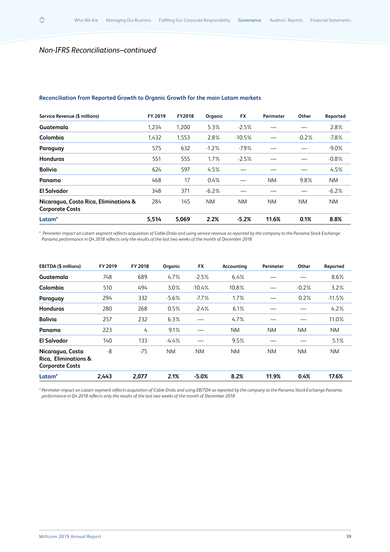$\Diamond$ 

# **Reconciliation from Reported Growth to Organic Growth for the main Latam markets**

| Service Revenue (\$ millions)                                   | FY 2019 | <b>FY2018</b> | Organic   | FX        | <b>Perimeter</b> | Other     | Reported  |
|-----------------------------------------------------------------|---------|---------------|-----------|-----------|------------------|-----------|-----------|
| Guatemala                                                       | 1,234   | 1,200         | 5.3%      | $-2.5%$   |                  |           | 2.8%      |
| Colombia                                                        | 1.432   | 1,553         | 2.8%      | $-10.5%$  |                  | $-0.2%$   | $-7.8%$   |
| Paraguay                                                        | 575     | 632           | $-1.2%$   | $-7.9%$   |                  |           | $-9.0\%$  |
| <b>Honduras</b>                                                 | 551     | 555           | 1.7%      | $-2.5%$   |                  |           | $-0.8%$   |
| <b>Bolivia</b>                                                  | 624     | 597           | 4.5%      |           |                  |           | 4.5%      |
| Panama                                                          | 468     | 17            | 0.4%      |           | <b>NM</b>        | 9.8%      | <b>NM</b> |
| <b>El Salvador</b>                                              | 348     | 371           | $-6.2%$   |           |                  |           | $-6.2%$   |
| Nicaragua, Costa Rica, Eliminations &<br><b>Corporate Costs</b> | 284     | 145           | <b>NM</b> | <b>NM</b> | <b>NM</b>        | <b>NM</b> | <b>NM</b> |
| Latam <sup>*</sup>                                              | 5,514   | 5,069         | 2.2%      | $-5.2%$   | 11.6%            | 0.1%      | 8.8%      |

*\* Perimeter impact on Latam segment reflects acquisition of Cable Onda and using service revenue as reported by the company to the Panama Stock Exchange. Panama performance in Q4 2018 reflects only the results of the last two weeks of the month of December 2018.*

| <b>EBITDA (\$ millions)</b>                                        | FY 2019 | FY 2018 | Organic   | <b>FX</b> | Accounting | <b>Perimeter</b> | Other     | Reported  |
|--------------------------------------------------------------------|---------|---------|-----------|-----------|------------|------------------|-----------|-----------|
| Guatemala                                                          | 748     | 689     | 4.7%      | $-2.5%$   | 6.4%       |                  |           | 8.6%      |
| Colombia                                                           | 510     | 494     | 3.0%      | $-10.4%$  | 10.8%      |                  | $-0.2%$   | 3.2%      |
| Paraguay                                                           | 294     | 332     | $-5.6%$   | $-7.7\%$  | 1.7%       |                  | 0.2%      | $-11.5%$  |
| Honduras                                                           | 280     | 268     | 0.5%      | $-2.4%$   | 6.1%       |                  |           | 4.2%      |
| <b>Bolivia</b>                                                     | 257     | 232     | 6.3%      |           | 4.7%       |                  |           | 11.0%     |
| Panama                                                             | 223     | 4       | 9.1%      |           | <b>NM</b>  | NM.              | <b>NM</b> | <b>NM</b> |
| <b>El Salvador</b>                                                 | 140     | 133     | $-4.4%$   |           | 9.5%       |                  |           | 5.1%      |
| Nicaragua, Costa<br>Rica, Eliminations &<br><b>Corporate Costs</b> | -8      | $-75$   | <b>NM</b> | <b>NM</b> | <b>NM</b>  | NM.              | <b>NM</b> | <b>NM</b> |
| Latam <sup>*</sup>                                                 | 2,443   | 2,077   | 2.1%      | $-5.0%$   | 8.2%       | 11.9%            | 0.4%      | 17.6%     |

*\* Perimeter impact on Latam segment reflects acquisition of Cable Onda and using EBITDA as reported by the company to the Panama Stock Exchange.Panama performance in Q4 2018 reflects only the results of the last two weeks of the month of December 2018.*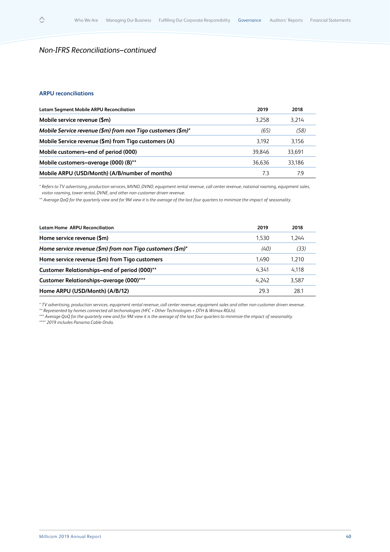# **ARPU reconciliations**

 $\Diamond$ 

| <b>Latam Segment Mobile ARPU Reconciliation</b>             | 2019   | 2018   |
|-------------------------------------------------------------|--------|--------|
| Mobile service revenue (\$m)                                | 3.258  | 3.214  |
| Mobile Service revenue (\$m) from non Tigo customers (\$m)* | (65)   | (58)   |
| Mobile Service revenue (\$m) from Tigo customers (A)        | 3.192  | 3.156  |
| Mobile customers-end of period (000)                        | 39.846 | 33.691 |
| Mobile customers-average (000) (B)**                        | 36.636 | 33.186 |
| Mobile ARPU (USD/Month) (A/B/number of months)              | 73     | 79     |

*\* Refers to TV advertising, production services, MVNO, DVNO, equipment rental revenue, call center revenue, national roaming, equipment sales, visitor roaming, tower rental, DVNE, and other non-customer driven revenue.*

*\*\* Average QoQ for the quarterly view and for 9M view it is the average of the last four quarters to minimize the impact of seasonality.*

| <b>Latam Home ARPU Reconciliation</b>                     | 2019  | 2018  |
|-----------------------------------------------------------|-------|-------|
| Home service revenue (\$m)                                | 1.530 | 1.244 |
| Home service revenue (\$m) from non Tigo customers (\$m)* | (40)  | (33)  |
| Home service revenue (\$m) from Tigo customers            | 1.490 | 1,210 |
| Customer Relationships-end of period (000)**              | 4.341 | 4.118 |
| Customer Relationships-average (000)***                   | 4.242 | 3.587 |
| Home ARPU (USD/Month) (A/B/12)                            | 29.3  | 28.1  |
|                                                           |       |       |

*\* TV advertising, production services, equipment rental revenue, call center revenue, equipment sales and other non customer driven revenue. \*\* Represented by homes connected all techonologies (HFC + Other Technologies + DTH & Wimax RGUs).*

*\*\*\* Average QoQ for the quarterly view and for 9M view it is the average of the last four quarters to minimize the impact of seasonality. \*\*\*\* 2019 includes Panama Cable Onda.*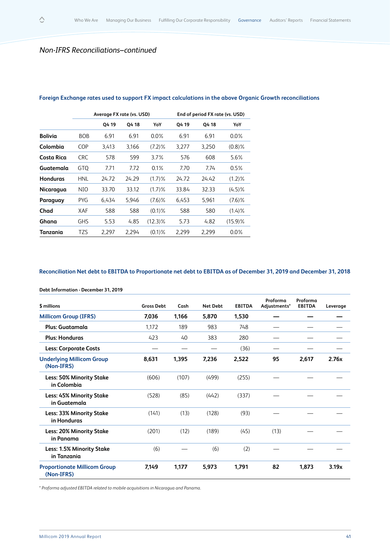|                 |            | Average FX rate (vs. USD) |       |            |       | End of period FX rate (vs. USD) |            |
|-----------------|------------|---------------------------|-------|------------|-------|---------------------------------|------------|
|                 |            | Q4 19                     | 04 18 | YoY        | Q4 19 | Q4 18                           | YoY        |
| <b>Bolivia</b>  | <b>BOB</b> | 6.91                      | 6.91  | $0.0\%$    | 6.91  | 6.91                            | $0.0\%$    |
| Colombia        | COP        | 3,413                     | 3,166 | $(7.2)\%$  | 3,277 | 3,250                           | $(0.8)\%$  |
| Costa Rica      | <b>CRC</b> | 578                       | 599   | 3.7%       | 576   | 608                             | 5.6%       |
| Guatemala       | GTQ        | 7.71                      | 7.72  | 0.1%       | 7.70  | 7.74                            | 0.5%       |
| <b>Honduras</b> | <b>HNL</b> | 24.72                     | 24.29 | (1.7)%     | 24.72 | 24.42                           | $(1.2)\%$  |
| Nicaragua       | NIO        | 33.70                     | 33.12 | (1.7)%     | 33.84 | 32.33                           | $(4.5)\%$  |
| Paraguay        | PYG.       | 6.434                     | 5.946 | $(7.6)\%$  | 6,453 | 5,961                           | $(7.6)\%$  |
| Chad            | XAF        | 588                       | 588   | $(0.1)$ %  | 588   | 580                             | (1.4)%     |
| Ghana           | <b>GHS</b> | 5.53                      | 4.85  | $(12.3)\%$ | 5.73  | 4.82                            | $(15.9)$ % |
| Tanzania        | <b>TZS</b> | 2.297                     | 2.294 | $(0.1)$ %  | 2.299 | 2.299                           | $0.0\%$    |

# **Foreign Exchange rates used to support FX impact calculations in the above Organic Growth reconciliations**

# **Reconciliation Net debt to EBITDA to Proportionate net debt to EBITDA as of December 31, 2019 and December 31, 2018**

|                                                   |                   |       |                 |               | Proforma     | Proforma      |          |
|---------------------------------------------------|-------------------|-------|-----------------|---------------|--------------|---------------|----------|
| \$ millions                                       | <b>Gross Debt</b> | Cash  | <b>Net Debt</b> | <b>EBITDA</b> | Adjustments* | <b>EBITDA</b> | Leverage |
| <b>Millicom Group (IFRS)</b>                      | 7,036             | 1,166 | 5,870           | 1,530         |              |               |          |
| Plus: Guatamala                                   | 1,172             | 189   | 983             | 748           |              |               |          |
| <b>Plus: Honduras</b>                             | 423               | 40    | 383             | 280           |              |               |          |
| <b>Less: Corporate Costs</b>                      |                   |       |                 | (36)          |              |               |          |
| <b>Underlying Millicom Group</b><br>(Non-IFRS)    | 8,631             | 1,395 | 7,236           | 2,522         | 95           | 2,617         | 2.76x    |
| <b>Less: 50% Minority Stake</b><br>in Colombia    | (606)             | (107) | (499)           | (255)         |              |               |          |
| <b>Less: 45% Minority Stake</b><br>in Guatemala   | (528)             | (85)  | (442)           | (337)         |              |               |          |
| <b>Less: 33% Minority Stake</b><br>in Honduras    | (141)             | (13)  | (128)           | (93)          |              |               |          |
| <b>Less: 20% Minority Stake</b><br>in Panama      | (201)             | (12)  | (189)           | (45)          | (13)         |               |          |
| <b>Less: 1.5% Minority Stake</b><br>in Tanzania   | (6)               |       | (6)             | (2)           |              |               |          |
| <b>Proportionate Millicom Group</b><br>(Non-IFRS) | 7,149             | 1,177 | 5,973           | 1,791         | 82           | 1,873         | 3.19x    |

**Debt Information - December 31, 2019**

*\* Proforma adjusted EBITDA related to mobile acquisitions in Nicaragua and Panama.*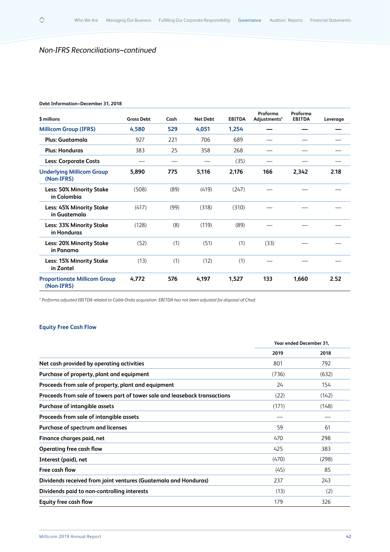#### **Debt Information–December 31, 2018**

 $\Diamond$ 

| \$ millions                                       | <b>Gross Debt</b> | Cash | <b>Net Debt</b> | <b>EBITDA</b> | Proforma<br>Adjustments* | Proforma<br><b>EBITDA</b> | Leverage |
|---------------------------------------------------|-------------------|------|-----------------|---------------|--------------------------|---------------------------|----------|
| <b>Millicom Group (IFRS)</b>                      | 4,580             | 529  | 4,051           | 1,254         |                          |                           |          |
| Plus: Guatamala                                   | 927               | 221  | 706             | 689           |                          |                           |          |
| <b>Plus: Honduras</b>                             | 383               | 25   | 358             | 268           |                          |                           |          |
| <b>Less: Corporate Costs</b>                      |                   |      |                 | (35)          |                          |                           |          |
| <b>Underlying Millicom Group</b><br>(Non-IFRS)    | 5,890             | 775  | 5,116           | 2,176         | 166                      | 2,342                     | 2.18     |
| <b>Less: 50% Minority Stake</b><br>in Colombia    | (508)             | (89) | (419)           | (247)         |                          |                           |          |
| Less: 45% Minority Stake<br>in Guatemala          | (417)             | (99) | (318)           | (310)         |                          |                           |          |
| Less: 33% Minority Stake<br>in Honduras           | (128)             | (8)  | (119)           | (89)          |                          |                           |          |
| <b>Less: 20% Minority Stake</b><br>in Panama      | (52)              | (1)  | (51)            | (1)           | (33)                     |                           |          |
| <b>Less: 15% Minority Stake</b><br>in Zantel      | (13)              | (1)  | (12)            | (1)           |                          |                           |          |
| <b>Proportionate Millicom Group</b><br>(Non-IFRS) | 4,772             | 576  | 4,197           | 1,527         | 133                      | 1,660                     | 2.52     |

*\* Proforma adjusted EBITDA related to Cable Onda acquisition. EBITDA has not been adjusted for disposal of Chad.*

# **Equity Free Cash Flow**

|                                                                            | Year ended December 31, |       |
|----------------------------------------------------------------------------|-------------------------|-------|
|                                                                            | 2019                    | 2018  |
| Net cash provided by operating activities                                  | 801                     | 792   |
| Purchase of property, plant and equipment                                  | (736)                   | (632) |
| Proceeds from sale of property, plant and equipment                        | 24                      | 154   |
| Proceeds from sale of towers part of tower sale and leaseback transactions | (22)                    | (142) |
| Purchase of intangible assets                                              | (171)                   | (148) |
| Proceeds from sale of intangible assets                                    |                         |       |
| Purchase of spectrum and licenses                                          | 59                      | 61    |
| Finance charges paid, net                                                  | 470                     | 298   |
| Operating free cash flow                                                   | 425                     | 383   |
| Interest (paid), net                                                       | (470)                   | (298) |
| Free cash flow                                                             | (45)                    | 85    |
| Dividends received from joint ventures (Guatemala and Honduras)            | 237                     | 243   |
| Dividends paid to non-controlling interests                                | (13)                    | (2)   |
| Equity free cash flow                                                      | 179                     | 326   |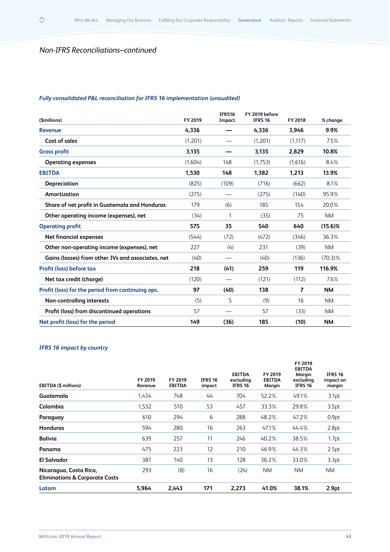$\Diamond$ 

# *Fully consolidated P&L reconciliation for IFRS 16 implementation (unaudited)*

| (\$millions)                                      | FY 2019 | IFRS16<br>Impact | FY 2019 before<br><b>IFRS 16</b> | FY 2018        | % change   |
|---------------------------------------------------|---------|------------------|----------------------------------|----------------|------------|
| Revenue                                           | 4,336   |                  | 4,336                            | 3,946          | 9.9%       |
| Cost of sales                                     | (1,201) |                  | (1,201)                          | (1,117)        | 7.5%       |
| <b>Gross profit</b>                               | 3,135   |                  | 3,135                            | 2,829          | 10.8%      |
| <b>Operating expenses</b>                         | (1,604) | 148              | (1,753)                          | (1,616)        | 8.4%       |
| <b>EBITDA</b>                                     | 1,530   | 148              | 1,382                            | 1,213          | 13.9%      |
| Depreciation                                      | (825)   | (109)            | (716)                            | (662)          | 8.1%       |
| Amortization                                      | (275)   |                  | (275)                            | (140)          | 95.9%      |
| Share of net profit in Guatemala and Honduras     | 179     | (6)              | 185                              | 154            | 20.0%      |
| Other operating income (expenses), net            | (34)    | 1                | (35)                             | 75             | <b>NM</b>  |
| <b>Operating profit</b>                           | 575     | 35               | 540                              | 640            | $(15.6)$ % |
| Net financial expenses                            | (544)   | (72)             | (472)                            | (346)          | 36.3%      |
| Other non-operating income (expenses), net        | 227     | (4)              | 231                              | (39)           | <b>NM</b>  |
| Gains (losses) from other JVs and associates, net | (40)    |                  | (40)                             | (136)          | $(70.3)\%$ |
| Profit (loss) before tax                          | 218     | (41)             | 259                              | 119            | 116.9%     |
| Net tax credit (charge)                           | (120)   |                  | (121)                            | (112)          | 7.6%       |
| Profit (loss) for the period from continuing ops. | 97      | (40)             | 138                              | $\overline{ }$ | <b>NM</b>  |
| Non-controlling interests                         | (5)     | 5                | (9)                              | 16             | <b>NM</b>  |
| Profit (loss) from discontinued operations        | 57      |                  | 57                               | (33)           | <b>NM</b>  |
| Net profit (loss) for the period                  | 149     | (36)             | 185                              | (10)           | <b>NM</b>  |

# *IFRS 16 impact by country*

| EBITDA (\$ millions)                                                | FY 2019<br>Revenue | FY 2019<br><b>EBITDA</b> | <b>IFRS 16</b><br>impact | <b>EBITDA</b><br>excluding<br><b>IFRS 16</b> | FY 2019<br><b>EBITDA</b><br>Margin | FY 2019<br><b>EBITDA</b><br>Margin<br>excluding<br><b>IFRS 16</b> | <b>IFRS 16</b><br>impact on<br>margin |
|---------------------------------------------------------------------|--------------------|--------------------------|--------------------------|----------------------------------------------|------------------------------------|-------------------------------------------------------------------|---------------------------------------|
| Guatemala                                                           | 1,434              | 748                      | 44                       | 704                                          | 52.2%                              | 49.1%                                                             | 3.1 <sub>pt</sub>                     |
| Colombia                                                            | 1,532              | 510                      | 53                       | 457                                          | 33.3%                              | 29.8%                                                             | 3.5pt                                 |
| Paraguay                                                            | 610                | 294                      | 6                        | 288                                          | 48.2%                              | 47.2%                                                             | 0.9 <sub>pt</sub>                     |
| <b>Honduras</b>                                                     | 594                | 280                      | 16                       | 263                                          | 47.1%                              | 44.4%                                                             | 2.8pt                                 |
| <b>Bolivia</b>                                                      | 639                | 257                      | 11                       | 246                                          | 40.2%                              | 38.5%                                                             | 1.7pt                                 |
| Panama                                                              | 475                | 223                      | 12                       | 210                                          | 46.9%                              | 44.3%                                                             | 2.5pt                                 |
| El Salvador                                                         | 387                | 140                      | 13                       | 128                                          | 36.2%                              | 33.0%                                                             | 3.3pt                                 |
| Nicaragua, Costa Rica,<br><b>Eliminations &amp; Corporate Costs</b> | 293                | (8)                      | 16                       | (24)                                         | NM.                                | <b>NM</b>                                                         | NM.                                   |
| Latam                                                               | 5,964              | 2,443                    | 171                      | 2,273                                        | 41.0%                              | 38.1%                                                             | 2.9pt                                 |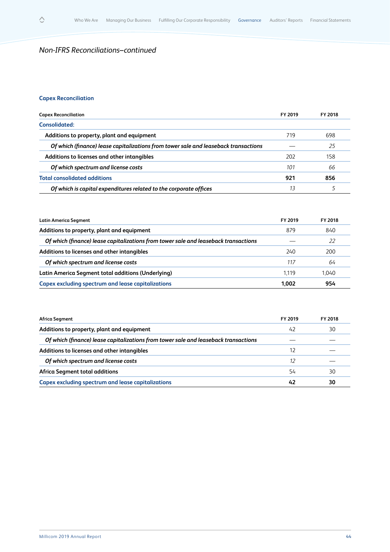# **Capex Reconciliation**

 $\Diamond$ 

| <b>Capex Reconciliation</b>                                                         | FY 2019 | <b>FY 2018</b> |
|-------------------------------------------------------------------------------------|---------|----------------|
| Consolidated:                                                                       |         |                |
| Additions to property, plant and equipment                                          | 719     | 698            |
| Of which (finance) lease capitalizations from tower sale and leaseback transactions |         | 25             |
| Additions to licenses and other intangibles                                         | 202     | 158            |
| Of which spectrum and license costs                                                 | 101     | 66             |
| <b>Total consolidated additions</b>                                                 | 921     | 856            |
| Of which is capital expenditures related to the corporate offices                   | 13      |                |

| Latin America Segment                                                               | FY 2019 | FY 2018 |
|-------------------------------------------------------------------------------------|---------|---------|
| Additions to property, plant and equipment                                          | 879     | 840     |
| Of which (finance) lease capitalizations from tower sale and leaseback transactions |         | 22      |
| Additions to licenses and other intangibles                                         | 240     | 200     |
| Of which spectrum and license costs                                                 | 117     | 64      |
| Latin America Segment total additions (Underlying)                                  | 1.119   | 1.040   |
| Capex excluding spectrum and lease capitalizations                                  | 1.002   | 954     |

| Africa Segment                                                                      | FY 2019 | FY 2018 |
|-------------------------------------------------------------------------------------|---------|---------|
| Additions to property, plant and equipment                                          | 42      | 30      |
| Of which (finance) lease capitalizations from tower sale and leaseback transactions |         |         |
| Additions to licenses and other intangibles                                         | 12      |         |
| Of which spectrum and license costs                                                 | 12      |         |
| Africa Segment total additions                                                      | 54      | 30      |
| <b>Capex excluding spectrum and lease capitalizations</b>                           | 42      | 30      |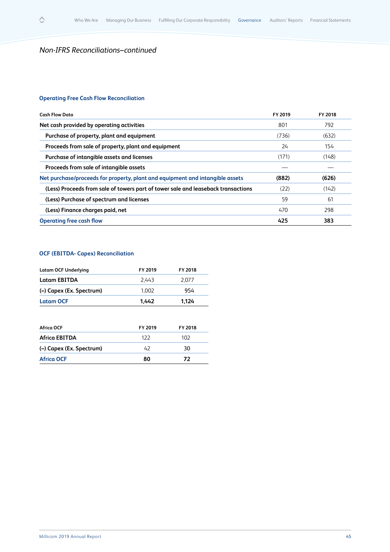$\Diamond$ 

# **Operating Free Cash Flow Reconciliation**

| <b>Cash Flow Data</b>                                                             | FY 2019 | FY 2018 |
|-----------------------------------------------------------------------------------|---------|---------|
| Net cash provided by operating activities                                         | 801     | 792     |
| Purchase of property, plant and equipment                                         | (736)   | (632)   |
| Proceeds from sale of property, plant and equipment                               | 24      | 154     |
| Purchase of intangible assets and licenses                                        | (171)   | (148)   |
| Proceeds from sale of intangible assets                                           |         |         |
| Net purchase/proceeds for property, plant and equipment and intangible assets     | (882)   | (626)   |
| (Less) Proceeds from sale of towers part of tower sale and leaseback transactions | (22)    | (142)   |
| (Less) Purchase of spectrum and licenses                                          | 59      | 61      |
| (Less) Finance charges paid, net                                                  | 470     | 298     |
| <b>Operating free cash flow</b>                                                   | 425     | 383     |

# **OCF (EBITDA- Capex) Reconciliation**

| <b>Latam OCF Underlying</b> | FY 2019 | FY 2018 |
|-----------------------------|---------|---------|
| <b>Latam EBITDA</b>         | 2.443   | 2.077   |
| (-) Capex (Ex. Spectrum)    | 1.002   | 954     |
| <b>Latam OCF</b>            | 1.442   | 1.124   |

| Africa OCF               | FY 2019 | FY 2018 |
|--------------------------|---------|---------|
| <b>Africa EBITDA</b>     | 122     | 102     |
| (-) Capex (Ex. Spectrum) | 47      | 30      |
| <b>Africa OCF</b>        | 80      | 72      |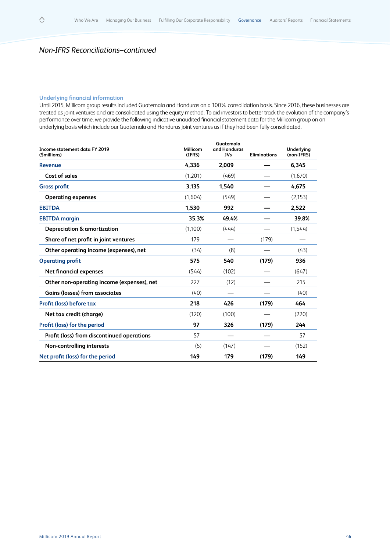# **Underlying financial information**

 $\begin{array}{c} \triangle \end{array}$ 

Until 2015, Millicom group results included Guatemala and Honduras on a 100% consolidation basis. Since 2016, these businesses are treated as joint ventures and are consolidated using the equity method. To aid investors to better track the evolution of the company's performance over time, we provide the following indicative unaudited financial statement data for the Millicom group on an underlying basis which include our Guatemala and Honduras joint ventures as if they had been fully consolidated.

| Income statement data FY 2019<br>(\$millions) | Millicom<br>(IFRS) | Guatemala<br>and Honduras<br><b>JVs</b> | <b>Eliminations</b> | Underlying<br>(non-IFRS) |
|-----------------------------------------------|--------------------|-----------------------------------------|---------------------|--------------------------|
| Revenue                                       | 4,336              | 2,009                                   |                     | 6,345                    |
| Cost of sales                                 | (1,201)            | (469)                                   |                     | (1,670)                  |
| <b>Gross profit</b>                           | 3,135              | 1,540                                   |                     | 4,675                    |
| <b>Operating expenses</b>                     | (1,604)            | (549)                                   |                     | (2, 153)                 |
| <b>EBITDA</b>                                 | 1,530              | 992                                     |                     | 2,522                    |
| <b>EBITDA</b> margin                          | 35.3%              | 49.4%                                   |                     | 39.8%                    |
| <b>Depreciation &amp; amortization</b>        | (1,100)            | (444)                                   |                     | (1,544)                  |
| Share of net profit in joint ventures         | 179                |                                         | (179)               |                          |
| Other operating income (expenses), net        | (34)               | (8)                                     |                     | (43)                     |
| <b>Operating profit</b>                       | 575                | 540                                     | (179)               | 936                      |
| <b>Net financial expenses</b>                 | (544)              | (102)                                   |                     | (647)                    |
| Other non-operating income (expenses), net    | 227                | (12)                                    |                     | 215                      |
| <b>Gains (losses) from associates</b>         | (40)               |                                         |                     | (40)                     |
| Profit (loss) before tax                      | 218                | 426                                     | (179)               | 464                      |
| Net tax credit (charge)                       | (120)              | (100)                                   |                     | (220)                    |
| Profit (loss) for the period                  | 97                 | 326                                     | (179)               | 244                      |
| Profit (loss) from discontinued operations    | 57                 |                                         |                     | 57                       |
| Non-controlling interests                     | (5)                | (147)                                   |                     | (152)                    |
| Net profit (loss) for the period              | 149                | 179                                     | (179)               | 149                      |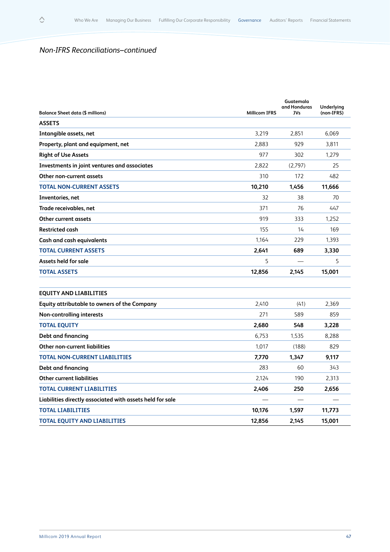$\Diamond$ 

| <b>Balance Sheet data (\$ millions)</b>                   | <b>Millicom IFRS</b> | Guatemala<br>and Honduras<br><b>JVs</b> | Underlying<br>(non-IFRS) |
|-----------------------------------------------------------|----------------------|-----------------------------------------|--------------------------|
| <b>ASSETS</b>                                             |                      |                                         |                          |
| Intangible assets, net                                    | 3.219                | 2.851                                   | 6.069                    |
| Property, plant and equipment, net                        | 2.883                | 929                                     | 3.811                    |
| <b>Right of Use Assets</b>                                | 977                  | 302                                     | 1.279                    |
| Investments in joint ventures and associates              | 2.822                | (2,797)                                 | 25                       |
| Other non-current assets                                  | 310                  | 172                                     | 482                      |
| <b>TOTAL NON-CURRENT ASSETS</b>                           | 10,210               | 1,456                                   | 11,666                   |
| Inventories, net                                          | 32                   | 38                                      | 70                       |
| Trade receivables, net                                    | 371                  | 76                                      | 447                      |
| Other current assets                                      | 919                  | 333                                     | 1,252                    |
| <b>Restricted cash</b>                                    | 155                  | 14                                      | 169                      |
| <b>Cash and cash equivalents</b>                          | 1,164                | 229                                     | 1,393                    |
| <b>TOTAL CURRENT ASSETS</b>                               | 2,641                | 689                                     | 3,330                    |
| Assets held for sale                                      | 5                    |                                         | 5                        |
| <b>TOTAL ASSETS</b>                                       | 12,856               | 2,145                                   | 15,001                   |
| <b>EQUITY AND LIABILITIES</b>                             |                      |                                         |                          |
| Equity attributable to owners of the Company              | 2,410                | (41)                                    | 2,369                    |
| Non-controlling interests                                 | 271                  | 589                                     | 859                      |
| <b>TOTAL EQUITY</b>                                       | 2.680                | 548                                     | 3,228                    |
| Debt and financing                                        | 6,753                | 1,535                                   | 8,288                    |
| <b>Other non-current liabilities</b>                      | 1,017                | (188)                                   | 829                      |
| <b>TOTAL NON-CURRENT LIABILITIES</b>                      | 7,770                | 1,347                                   | 9,117                    |
| Debt and financing                                        | 283                  | 60                                      | 343                      |
| <b>Other current liabilities</b>                          | 2,124                | 190                                     | 2,313                    |
| <b>TOTAL CURRENT LIABILITIES</b>                          | 2,406                | 250                                     | 2,656                    |
| Liabilities directly associated with assets held for sale |                      |                                         |                          |
| <b>TOTAL LIABILITIES</b>                                  | 10,176               | 1,597                                   | 11,773                   |
| <b>TOTAL EQUITY AND LIABILITIES</b>                       | 12,856               | 2.145                                   | 15,001                   |